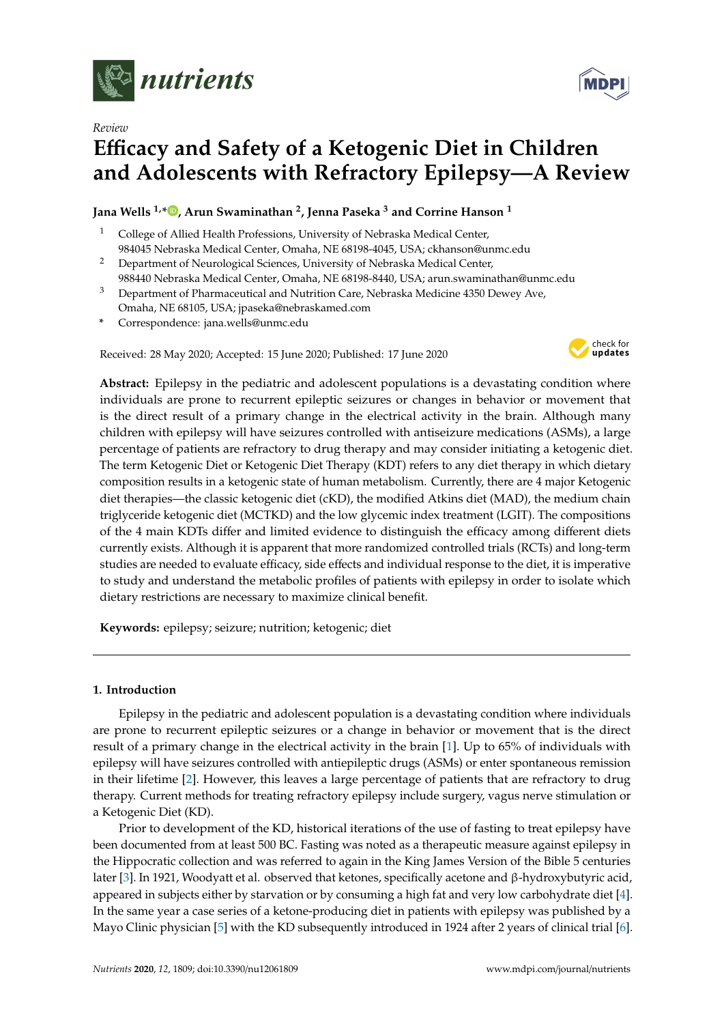

*Review*

# **E**ffi**cacy and Safety of a Ketogenic Diet in Children and Adolescents with Refractory Epilepsy—A Review**

# **Jana Wells 1,\* [,](https://orcid.org/0000-0002-1040-8750) Arun Swaminathan <sup>2</sup> , Jenna Paseka <sup>3</sup> and Corrine Hanson <sup>1</sup>**

- <sup>1</sup> College of Allied Health Professions, University of Nebraska Medical Center, 984045 Nebraska Medical Center, Omaha, NE 68198-4045, USA; ckhanson@unmc.edu
- <sup>2</sup> Department of Neurological Sciences, University of Nebraska Medical Center, 988440 Nebraska Medical Center, Omaha, NE 68198-8440, USA; arun.swaminathan@unmc.edu
- <sup>3</sup> Department of Pharmaceutical and Nutrition Care, Nebraska Medicine 4350 Dewey Ave, Omaha, NE 68105, USA; jpaseka@nebraskamed.com
- **\*** Correspondence: jana.wells@unmc.edu

Received: 28 May 2020; Accepted: 15 June 2020; Published: 17 June 2020



**Abstract:** Epilepsy in the pediatric and adolescent populations is a devastating condition where individuals are prone to recurrent epileptic seizures or changes in behavior or movement that is the direct result of a primary change in the electrical activity in the brain. Although many children with epilepsy will have seizures controlled with antiseizure medications (ASMs), a large percentage of patients are refractory to drug therapy and may consider initiating a ketogenic diet. The term Ketogenic Diet or Ketogenic Diet Therapy (KDT) refers to any diet therapy in which dietary composition results in a ketogenic state of human metabolism. Currently, there are 4 major Ketogenic diet therapies—the classic ketogenic diet (cKD), the modified Atkins diet (MAD), the medium chain triglyceride ketogenic diet (MCTKD) and the low glycemic index treatment (LGIT). The compositions of the 4 main KDTs differ and limited evidence to distinguish the efficacy among different diets currently exists. Although it is apparent that more randomized controlled trials (RCTs) and long-term studies are needed to evaluate efficacy, side effects and individual response to the diet, it is imperative to study and understand the metabolic profiles of patients with epilepsy in order to isolate which dietary restrictions are necessary to maximize clinical benefit.

**Keywords:** epilepsy; seizure; nutrition; ketogenic; diet

# **1. Introduction**

Epilepsy in the pediatric and adolescent population is a devastating condition where individuals are prone to recurrent epileptic seizures or a change in behavior or movement that is the direct result of a primary change in the electrical activity in the brain [\[1\]](#page-11-0). Up to 65% of individuals with epilepsy will have seizures controlled with antiepileptic drugs (ASMs) or enter spontaneous remission in their lifetime [\[2\]](#page-11-1). However, this leaves a large percentage of patients that are refractory to drug therapy. Current methods for treating refractory epilepsy include surgery, vagus nerve stimulation or a Ketogenic Diet (KD).

Prior to development of the KD, historical iterations of the use of fasting to treat epilepsy have been documented from at least 500 BC. Fasting was noted as a therapeutic measure against epilepsy in the Hippocratic collection and was referred to again in the King James Version of the Bible 5 centuries later [\[3\]](#page-11-2). In 1921, Woodyatt et al. observed that ketones, specifically acetone and β-hydroxybutyric acid, appeared in subjects either by starvation or by consuming a high fat and very low carbohydrate diet [\[4\]](#page-11-3). In the same year a case series of a ketone-producing diet in patients with epilepsy was published by a Mayo Clinic physician [\[5\]](#page-11-4) with the KD subsequently introduced in 1924 after 2 years of clinical trial [\[6\]](#page-11-5).

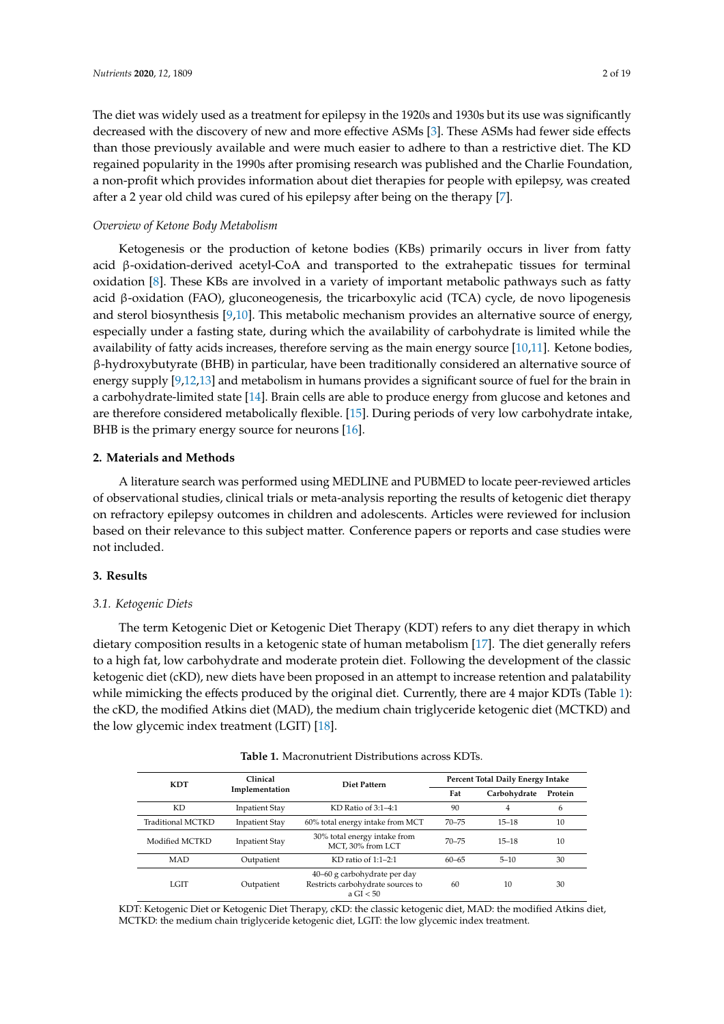The diet was widely used as a treatment for epilepsy in the 1920s and 1930s but its use was significantly decreased with the discovery of new and more effective ASMs [\[3\]](#page-11-2). These ASMs had fewer side effects than those previously available and were much easier to adhere to than a restrictive diet. The KD regained popularity in the 1990s after promising research was published and the Charlie Foundation, a non-profit which provides information about diet therapies for people with epilepsy, was created after a 2 year old child was cured of his epilepsy after being on the therapy [\[7\]](#page-12-0).

#### *Overview of Ketone Body Metabolism*

Ketogenesis or the production of ketone bodies (KBs) primarily occurs in liver from fatty acid β-oxidation-derived acetyl-CoA and transported to the extrahepatic tissues for terminal oxidation [\[8\]](#page-12-1). These KBs are involved in a variety of important metabolic pathways such as fatty acid β-oxidation (FAO), gluconeogenesis, the tricarboxylic acid (TCA) cycle, de novo lipogenesis and sterol biosynthesis  $[9,10]$  $[9,10]$ . This metabolic mechanism provides an alternative source of energy, especially under a fasting state, during which the availability of carbohydrate is limited while the availability of fatty acids increases, therefore serving as the main energy source [\[10,](#page-12-3)[11\]](#page-12-4). Ketone bodies, β-hydroxybutyrate (BHB) in particular, have been traditionally considered an alternative source of energy supply [\[9,](#page-12-2)[12](#page-12-5)[,13\]](#page-12-6) and metabolism in humans provides a significant source of fuel for the brain in a carbohydrate-limited state [\[14\]](#page-12-7). Brain cells are able to produce energy from glucose and ketones and are therefore considered metabolically flexible. [\[15\]](#page-12-8). During periods of very low carbohydrate intake, BHB is the primary energy source for neurons [\[16\]](#page-12-9).

# **2. Materials and Methods**

A literature search was performed using MEDLINE and PUBMED to locate peer-reviewed articles of observational studies, clinical trials or meta-analysis reporting the results of ketogenic diet therapy on refractory epilepsy outcomes in children and adolescents. Articles were reviewed for inclusion based on their relevance to this subject matter. Conference papers or reports and case studies were not included.

#### **3. Results**

#### *3.1. Ketogenic Diets*

The term Ketogenic Diet or Ketogenic Diet Therapy (KDT) refers to any diet therapy in which dietary composition results in a ketogenic state of human metabolism [\[17\]](#page-12-10). The diet generally refers to a high fat, low carbohydrate and moderate protein diet. Following the development of the classic ketogenic diet (cKD), new diets have been proposed in an attempt to increase retention and palatability while mimicking the effects produced by the original diet. Currently, there are 4 major KDTs (Table [1\)](#page-1-0): the cKD, the modified Atkins diet (MAD), the medium chain triglyceride ketogenic diet (MCTKD) and the low glycemic index treatment (LGIT) [\[18\]](#page-12-11).

<span id="page-1-0"></span>

| <b>KDT</b>        | Clinical<br>Implementation | Diet Pattern                                                                     | Percent Total Daily Energy Intake |              |         |
|-------------------|----------------------------|----------------------------------------------------------------------------------|-----------------------------------|--------------|---------|
|                   |                            |                                                                                  | Fat                               | Carbohydrate | Protein |
| KD                | <b>Inpatient Stay</b>      | $KD$ Ratio of $3:1-4:1$                                                          | 90                                | 4            | 6       |
| Traditional MCTKD | <b>Inpatient Stay</b>      | 60% total energy intake from MCT                                                 | $70 - 75$                         | $15 - 18$    | 10      |
| Modified MCTKD    | <b>Inpatient Stay</b>      | 30% total energy intake from<br>MCT, 30% from LCT                                | $70 - 75$                         | $15 - 18$    | 10      |
| <b>MAD</b>        | Outpatient                 | $KD$ ratio of 1:1-2:1                                                            | $60 - 65$                         | $5 - 10$     | 30      |
| LGIT              | Outpatient                 | 40-60 g carbohydrate per day<br>Restricts carbohydrate sources to<br>a GI $< 50$ | 60                                | 10           | 30      |

**Table 1.** Macronutrient Distributions across KDTs.

KDT: Ketogenic Diet or Ketogenic Diet Therapy, cKD: the classic ketogenic diet, MAD: the modified Atkins diet, MCTKD: the medium chain triglyceride ketogenic diet, LGIT: the low glycemic index treatment.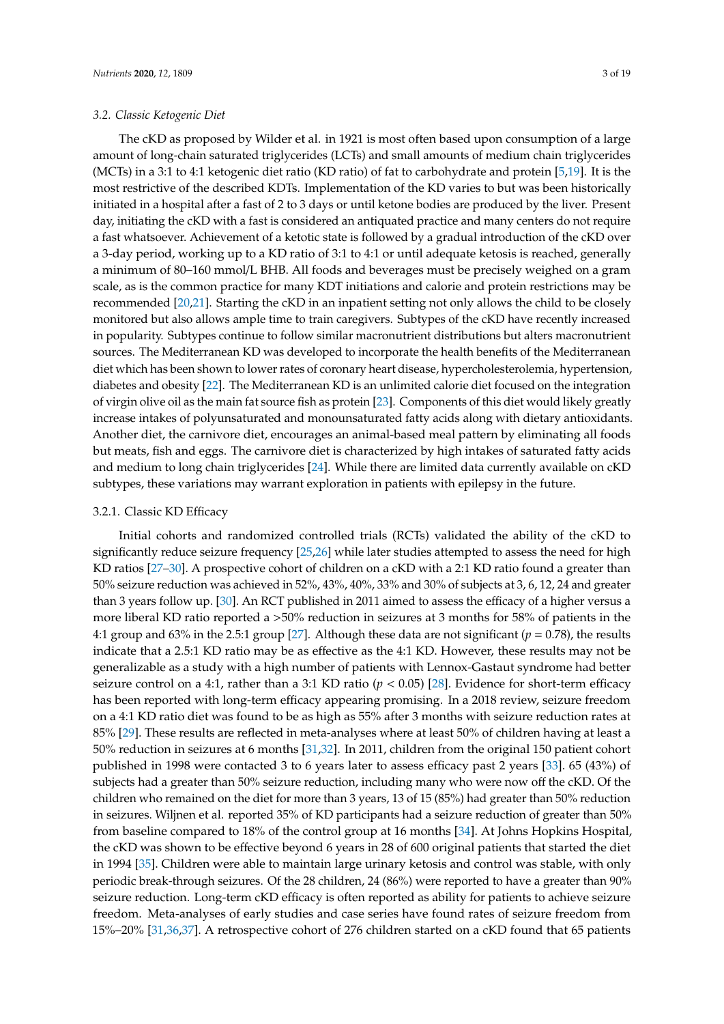#### *3.2. Classic Ketogenic Diet*

The cKD as proposed by Wilder et al. in 1921 is most often based upon consumption of a large amount of long-chain saturated triglycerides (LCTs) and small amounts of medium chain triglycerides (MCTs) in a 3:1 to 4:1 ketogenic diet ratio (KD ratio) of fat to carbohydrate and protein [\[5,](#page-11-4)[19\]](#page-12-12). It is the most restrictive of the described KDTs. Implementation of the KD varies to but was been historically initiated in a hospital after a fast of 2 to 3 days or until ketone bodies are produced by the liver. Present day, initiating the cKD with a fast is considered an antiquated practice and many centers do not require a fast whatsoever. Achievement of a ketotic state is followed by a gradual introduction of the cKD over a 3-day period, working up to a KD ratio of 3:1 to 4:1 or until adequate ketosis is reached, generally a minimum of 80–160 mmol/L BHB. All foods and beverages must be precisely weighed on a gram scale, as is the common practice for many KDT initiations and calorie and protein restrictions may be recommended [\[20,](#page-12-13)[21\]](#page-12-14). Starting the cKD in an inpatient setting not only allows the child to be closely monitored but also allows ample time to train caregivers. Subtypes of the cKD have recently increased in popularity. Subtypes continue to follow similar macronutrient distributions but alters macronutrient sources. The Mediterranean KD was developed to incorporate the health benefits of the Mediterranean diet which has been shown to lower rates of coronary heart disease, hypercholesterolemia, hypertension, diabetes and obesity [\[22\]](#page-12-15). The Mediterranean KD is an unlimited calorie diet focused on the integration of virgin olive oil as the main fat source fish as protein [\[23\]](#page-12-16). Components of this diet would likely greatly increase intakes of polyunsaturated and monounsaturated fatty acids along with dietary antioxidants. Another diet, the carnivore diet, encourages an animal-based meal pattern by eliminating all foods but meats, fish and eggs. The carnivore diet is characterized by high intakes of saturated fatty acids and medium to long chain triglycerides [\[24\]](#page-12-17). While there are limited data currently available on cKD subtypes, these variations may warrant exploration in patients with epilepsy in the future.

#### 3.2.1. Classic KD Efficacy

Initial cohorts and randomized controlled trials (RCTs) validated the ability of the cKD to significantly reduce seizure frequency [\[25](#page-12-18)[,26\]](#page-12-19) while later studies attempted to assess the need for high KD ratios [\[27](#page-12-20)[–30\]](#page-13-0). A prospective cohort of children on a cKD with a 2:1 KD ratio found a greater than 50% seizure reduction was achieved in 52%, 43%, 40%, 33% and 30% of subjects at 3, 6, 12, 24 and greater than 3 years follow up. [\[30\]](#page-13-0). An RCT published in 2011 aimed to assess the efficacy of a higher versus a more liberal KD ratio reported a >50% reduction in seizures at 3 months for 58% of patients in the 4:1 group and 63% in the 2.5:1 group [\[27\]](#page-12-20). Although these data are not significant (*p* = 0.78), the results indicate that a 2.5:1 KD ratio may be as effective as the 4:1 KD. However, these results may not be generalizable as a study with a high number of patients with Lennox-Gastaut syndrome had better seizure control on a 4:1, rather than a 3:1 KD ratio  $(p < 0.05)$  [\[28\]](#page-12-21). Evidence for short-term efficacy has been reported with long-term efficacy appearing promising. In a 2018 review, seizure freedom on a 4:1 KD ratio diet was found to be as high as 55% after 3 months with seizure reduction rates at 85% [\[29\]](#page-12-22). These results are reflected in meta-analyses where at least 50% of children having at least a 50% reduction in seizures at 6 months [\[31,](#page-13-1)[32\]](#page-13-2). In 2011, children from the original 150 patient cohort published in 1998 were contacted 3 to 6 years later to assess efficacy past 2 years [\[33\]](#page-13-3). 65 (43%) of subjects had a greater than 50% seizure reduction, including many who were now off the cKD. Of the children who remained on the diet for more than 3 years, 13 of 15 (85%) had greater than 50% reduction in seizures. Wiljnen et al. reported 35% of KD participants had a seizure reduction of greater than 50% from baseline compared to 18% of the control group at 16 months [\[34\]](#page-13-4). At Johns Hopkins Hospital, the cKD was shown to be effective beyond 6 years in 28 of 600 original patients that started the diet in 1994 [\[35\]](#page-13-5). Children were able to maintain large urinary ketosis and control was stable, with only periodic break-through seizures. Of the 28 children, 24 (86%) were reported to have a greater than 90% seizure reduction. Long-term cKD efficacy is often reported as ability for patients to achieve seizure freedom. Meta-analyses of early studies and case series have found rates of seizure freedom from 15%–20% [\[31,](#page-13-1)[36,](#page-13-6)[37\]](#page-13-7). A retrospective cohort of 276 children started on a cKD found that 65 patients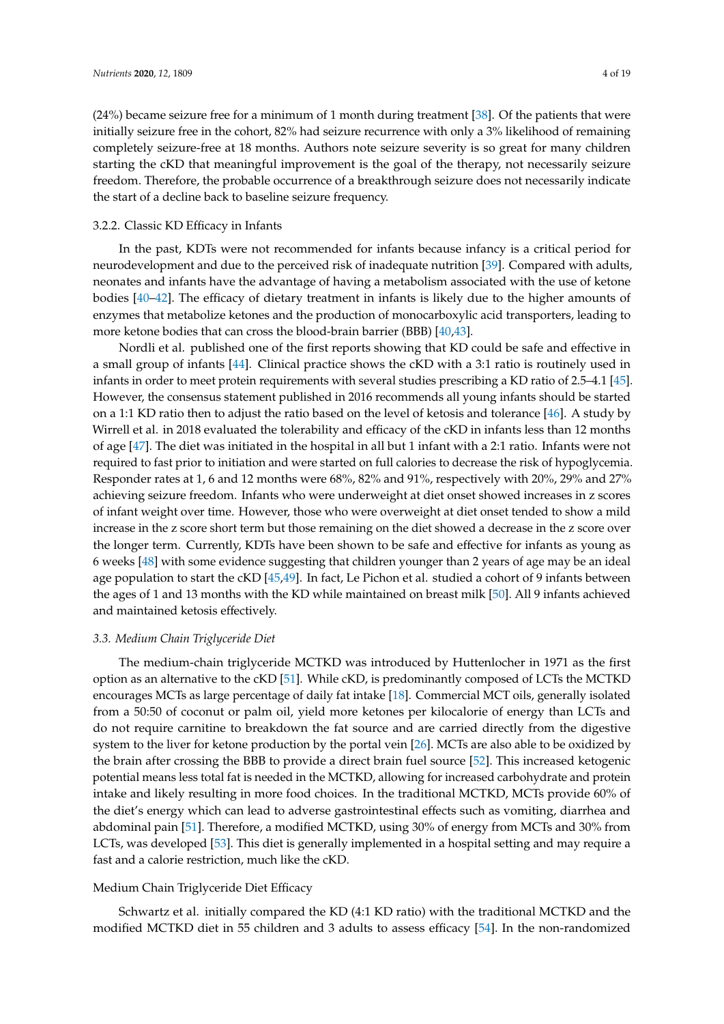(24%) became seizure free for a minimum of 1 month during treatment [\[38\]](#page-13-8). Of the patients that were initially seizure free in the cohort, 82% had seizure recurrence with only a 3% likelihood of remaining completely seizure-free at 18 months. Authors note seizure severity is so great for many children starting the cKD that meaningful improvement is the goal of the therapy, not necessarily seizure freedom. Therefore, the probable occurrence of a breakthrough seizure does not necessarily indicate the start of a decline back to baseline seizure frequency.

#### 3.2.2. Classic KD Efficacy in Infants

In the past, KDTs were not recommended for infants because infancy is a critical period for neurodevelopment and due to the perceived risk of inadequate nutrition [\[39\]](#page-13-9). Compared with adults, neonates and infants have the advantage of having a metabolism associated with the use of ketone bodies [\[40–](#page-13-10)[42\]](#page-13-11). The efficacy of dietary treatment in infants is likely due to the higher amounts of enzymes that metabolize ketones and the production of monocarboxylic acid transporters, leading to more ketone bodies that can cross the blood-brain barrier (BBB) [\[40,](#page-13-10)[43\]](#page-13-12).

Nordli et al. published one of the first reports showing that KD could be safe and effective in a small group of infants [\[44\]](#page-13-13). Clinical practice shows the cKD with a 3:1 ratio is routinely used in infants in order to meet protein requirements with several studies prescribing a KD ratio of 2.5–4.1 [\[45\]](#page-13-14). However, the consensus statement published in 2016 recommends all young infants should be started on a 1:1 KD ratio then to adjust the ratio based on the level of ketosis and tolerance [\[46\]](#page-13-15). A study by Wirrell et al. in 2018 evaluated the tolerability and efficacy of the cKD in infants less than 12 months of age [\[47\]](#page-13-16). The diet was initiated in the hospital in all but 1 infant with a 2:1 ratio. Infants were not required to fast prior to initiation and were started on full calories to decrease the risk of hypoglycemia. Responder rates at 1, 6 and 12 months were 68%, 82% and 91%, respectively with 20%, 29% and 27% achieving seizure freedom. Infants who were underweight at diet onset showed increases in z scores of infant weight over time. However, those who were overweight at diet onset tended to show a mild increase in the z score short term but those remaining on the diet showed a decrease in the z score over the longer term. Currently, KDTs have been shown to be safe and effective for infants as young as 6 weeks [\[48\]](#page-13-17) with some evidence suggesting that children younger than 2 years of age may be an ideal age population to start the cKD [\[45,](#page-13-14)[49\]](#page-13-18). In fact, Le Pichon et al. studied a cohort of 9 infants between the ages of 1 and 13 months with the KD while maintained on breast milk [\[50\]](#page-13-19). All 9 infants achieved and maintained ketosis effectively.

## *3.3. Medium Chain Triglyceride Diet*

The medium-chain triglyceride MCTKD was introduced by Huttenlocher in 1971 as the first option as an alternative to the cKD [\[51\]](#page-13-20). While cKD, is predominantly composed of LCTs the MCTKD encourages MCTs as large percentage of daily fat intake [\[18\]](#page-12-11). Commercial MCT oils, generally isolated from a 50:50 of coconut or palm oil, yield more ketones per kilocalorie of energy than LCTs and do not require carnitine to breakdown the fat source and are carried directly from the digestive system to the liver for ketone production by the portal vein [\[26\]](#page-12-19). MCTs are also able to be oxidized by the brain after crossing the BBB to provide a direct brain fuel source [\[52\]](#page-13-21). This increased ketogenic potential means less total fat is needed in the MCTKD, allowing for increased carbohydrate and protein intake and likely resulting in more food choices. In the traditional MCTKD, MCTs provide 60% of the diet's energy which can lead to adverse gastrointestinal effects such as vomiting, diarrhea and abdominal pain [\[51\]](#page-13-20). Therefore, a modified MCTKD, using 30% of energy from MCTs and 30% from LCTs, was developed [\[53\]](#page-13-22). This diet is generally implemented in a hospital setting and may require a fast and a calorie restriction, much like the cKD.

## Medium Chain Triglyceride Diet Efficacy

Schwartz et al. initially compared the KD (4:1 KD ratio) with the traditional MCTKD and the modified MCTKD diet in 55 children and 3 adults to assess efficacy [\[54\]](#page-14-0). In the non-randomized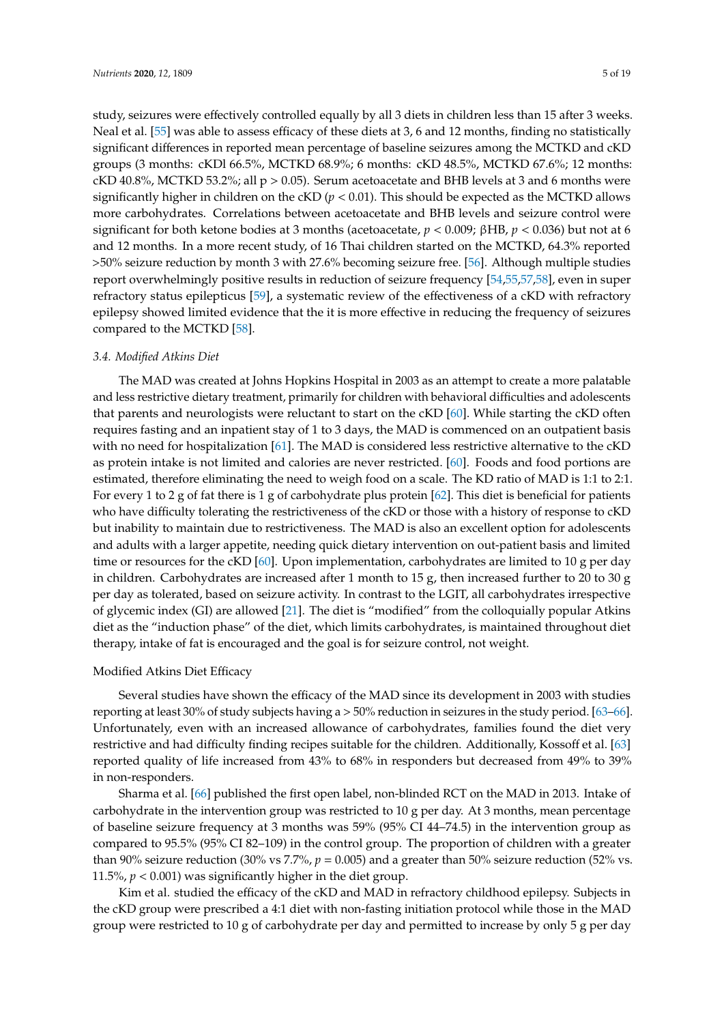study, seizures were effectively controlled equally by all 3 diets in children less than 15 after 3 weeks. Neal et al. [\[55\]](#page-14-1) was able to assess efficacy of these diets at 3, 6 and 12 months, finding no statistically significant differences in reported mean percentage of baseline seizures among the MCTKD and cKD groups (3 months: cKDl 66.5%, MCTKD 68.9%; 6 months: cKD 48.5%, MCTKD 67.6%; 12 months: cKD 40.8%, MCTKD 53.2%; all  $p > 0.05$ ). Serum acetoacetate and BHB levels at 3 and 6 months were significantly higher in children on the cKD ( $p < 0.01$ ). This should be expected as the MCTKD allows more carbohydrates. Correlations between acetoacetate and BHB levels and seizure control were significant for both ketone bodies at 3 months (acetoacetate, *p* < 0.009; βHB, *p* < 0.036) but not at 6 and 12 months. In a more recent study, of 16 Thai children started on the MCTKD, 64.3% reported >50% seizure reduction by month 3 with 27.6% becoming seizure free. [\[56\]](#page-14-2). Although multiple studies report overwhelmingly positive results in reduction of seizure frequency [\[54](#page-14-0)[,55](#page-14-1)[,57](#page-14-3)[,58\]](#page-14-4), even in super refractory status epilepticus [\[59\]](#page-14-5), a systematic review of the effectiveness of a cKD with refractory epilepsy showed limited evidence that the it is more effective in reducing the frequency of seizures compared to the MCTKD [\[58\]](#page-14-4).

#### *3.4. Modified Atkins Diet*

The MAD was created at Johns Hopkins Hospital in 2003 as an attempt to create a more palatable and less restrictive dietary treatment, primarily for children with behavioral difficulties and adolescents that parents and neurologists were reluctant to start on the cKD [\[60\]](#page-14-6). While starting the cKD often requires fasting and an inpatient stay of 1 to 3 days, the MAD is commenced on an outpatient basis with no need for hospitalization [\[61\]](#page-14-7). The MAD is considered less restrictive alternative to the cKD as protein intake is not limited and calories are never restricted. [\[60\]](#page-14-6). Foods and food portions are estimated, therefore eliminating the need to weigh food on a scale. The KD ratio of MAD is 1:1 to 2:1. For every 1 to 2 g of fat there is 1 g of carbohydrate plus protein [\[62\]](#page-14-8). This diet is beneficial for patients who have difficulty tolerating the restrictiveness of the cKD or those with a history of response to cKD but inability to maintain due to restrictiveness. The MAD is also an excellent option for adolescents and adults with a larger appetite, needing quick dietary intervention on out-patient basis and limited time or resources for the cKD [\[60\]](#page-14-6). Upon implementation, carbohydrates are limited to 10 g per day in children. Carbohydrates are increased after 1 month to 15 g, then increased further to 20 to 30 g per day as tolerated, based on seizure activity. In contrast to the LGIT, all carbohydrates irrespective of glycemic index (GI) are allowed [\[21\]](#page-12-14). The diet is "modified" from the colloquially popular Atkins diet as the "induction phase" of the diet, which limits carbohydrates, is maintained throughout diet therapy, intake of fat is encouraged and the goal is for seizure control, not weight.

#### Modified Atkins Diet Efficacy

Several studies have shown the efficacy of the MAD since its development in 2003 with studies reporting at least 30% of study subjects having a > 50% reduction in seizures in the study period. [\[63–](#page-14-9)[66\]](#page-14-10). Unfortunately, even with an increased allowance of carbohydrates, families found the diet very restrictive and had difficulty finding recipes suitable for the children. Additionally, Kossoff et al. [\[63\]](#page-14-9) reported quality of life increased from 43% to 68% in responders but decreased from 49% to 39% in non-responders.

Sharma et al. [\[66\]](#page-14-10) published the first open label, non-blinded RCT on the MAD in 2013. Intake of carbohydrate in the intervention group was restricted to 10 g per day. At 3 months, mean percentage of baseline seizure frequency at 3 months was 59% (95% CI 44–74.5) in the intervention group as compared to 95.5% (95% CI 82–109) in the control group. The proportion of children with a greater than 90% seizure reduction (30% vs  $7.7\%$ ,  $p = 0.005$ ) and a greater than 50% seizure reduction (52% vs. 11.5%,  $p < 0.001$ ) was significantly higher in the diet group.

Kim et al. studied the efficacy of the cKD and MAD in refractory childhood epilepsy. Subjects in the cKD group were prescribed a 4:1 diet with non-fasting initiation protocol while those in the MAD group were restricted to 10 g of carbohydrate per day and permitted to increase by only 5 g per day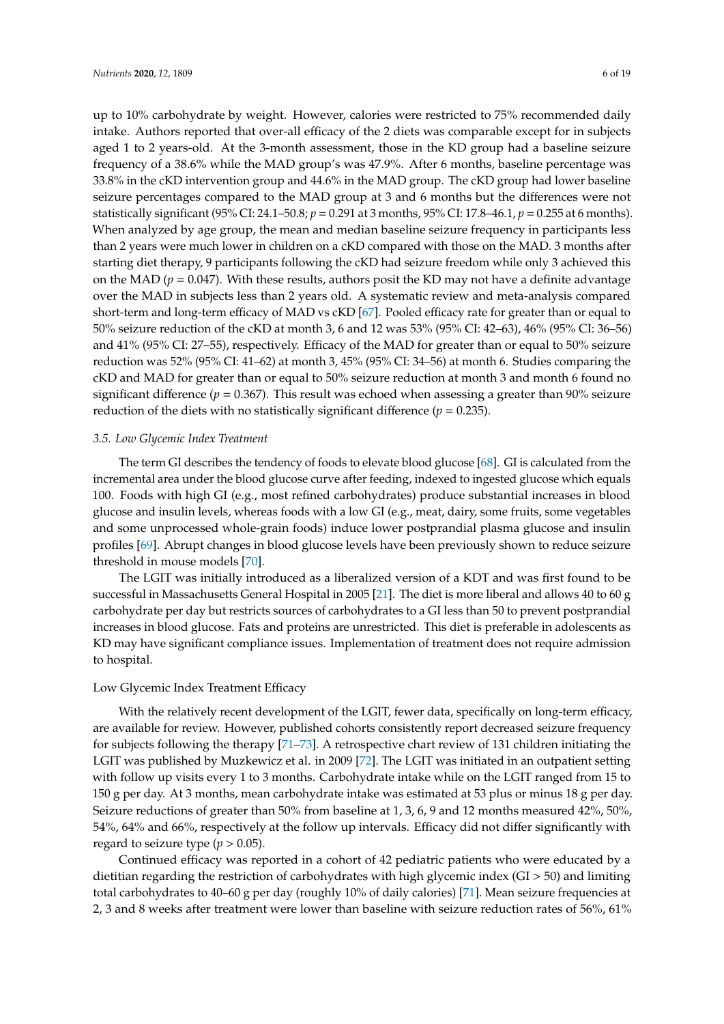up to 10% carbohydrate by weight. However, calories were restricted to 75% recommended daily intake. Authors reported that over-all efficacy of the 2 diets was comparable except for in subjects aged 1 to 2 years-old. At the 3-month assessment, those in the KD group had a baseline seizure frequency of a 38.6% while the MAD group's was 47.9%. After 6 months, baseline percentage was 33.8% in the cKD intervention group and 44.6% in the MAD group. The cKD group had lower baseline seizure percentages compared to the MAD group at 3 and 6 months but the differences were not statistically significant (95% CI: 24.1–50.8; *p* = 0.291 at 3 months, 95% CI: 17.8–46.1, *p* = 0.255 at 6 months). When analyzed by age group, the mean and median baseline seizure frequency in participants less than 2 years were much lower in children on a cKD compared with those on the MAD. 3 months after starting diet therapy, 9 participants following the cKD had seizure freedom while only 3 achieved this on the MAD ( $p = 0.047$ ). With these results, authors posit the KD may not have a definite advantage over the MAD in subjects less than 2 years old. A systematic review and meta-analysis compared short-term and long-term efficacy of MAD vs cKD [\[67\]](#page-14-11). Pooled efficacy rate for greater than or equal to 50% seizure reduction of the cKD at month 3, 6 and 12 was 53% (95% CI: 42–63), 46% (95% CI: 36–56) and 41% (95% CI: 27–55), respectively. Efficacy of the MAD for greater than or equal to 50% seizure reduction was 52% (95% CI: 41–62) at month 3, 45% (95% CI: 34–56) at month 6. Studies comparing the cKD and MAD for greater than or equal to 50% seizure reduction at month 3 and month 6 found no significant difference ( $p = 0.367$ ). This result was echoed when assessing a greater than 90% seizure reduction of the diets with no statistically significant difference ( $p = 0.235$ ).

#### *3.5. Low Glycemic Index Treatment*

The term GI describes the tendency of foods to elevate blood glucose [\[68\]](#page-14-12). GI is calculated from the incremental area under the blood glucose curve after feeding, indexed to ingested glucose which equals 100. Foods with high GI (e.g., most refined carbohydrates) produce substantial increases in blood glucose and insulin levels, whereas foods with a low GI (e.g., meat, dairy, some fruits, some vegetables and some unprocessed whole-grain foods) induce lower postprandial plasma glucose and insulin profiles [\[69\]](#page-14-13). Abrupt changes in blood glucose levels have been previously shown to reduce seizure threshold in mouse models [\[70\]](#page-14-14).

The LGIT was initially introduced as a liberalized version of a KDT and was first found to be successful in Massachusetts General Hospital in 2005 [\[21\]](#page-12-14). The diet is more liberal and allows 40 to 60 g carbohydrate per day but restricts sources of carbohydrates to a GI less than 50 to prevent postprandial increases in blood glucose. Fats and proteins are unrestricted. This diet is preferable in adolescents as KD may have significant compliance issues. Implementation of treatment does not require admission to hospital.

#### Low Glycemic Index Treatment Efficacy

With the relatively recent development of the LGIT, fewer data, specifically on long-term efficacy, are available for review. However, published cohorts consistently report decreased seizure frequency for subjects following the therapy [\[71–](#page-14-15)[73\]](#page-14-16). A retrospective chart review of 131 children initiating the LGIT was published by Muzkewicz et al. in 2009 [\[72\]](#page-14-17). The LGIT was initiated in an outpatient setting with follow up visits every 1 to 3 months. Carbohydrate intake while on the LGIT ranged from 15 to 150 g per day. At 3 months, mean carbohydrate intake was estimated at 53 plus or minus 18 g per day. Seizure reductions of greater than 50% from baseline at 1, 3, 6, 9 and 12 months measured 42%, 50%, 54%, 64% and 66%, respectively at the follow up intervals. Efficacy did not differ significantly with regard to seizure type  $(p > 0.05)$ .

Continued efficacy was reported in a cohort of 42 pediatric patients who were educated by a dietitian regarding the restriction of carbohydrates with high glycemic index ( $GI > 50$ ) and limiting total carbohydrates to 40–60 g per day (roughly 10% of daily calories) [\[71\]](#page-14-15). Mean seizure frequencies at 2, 3 and 8 weeks after treatment were lower than baseline with seizure reduction rates of 56%, 61%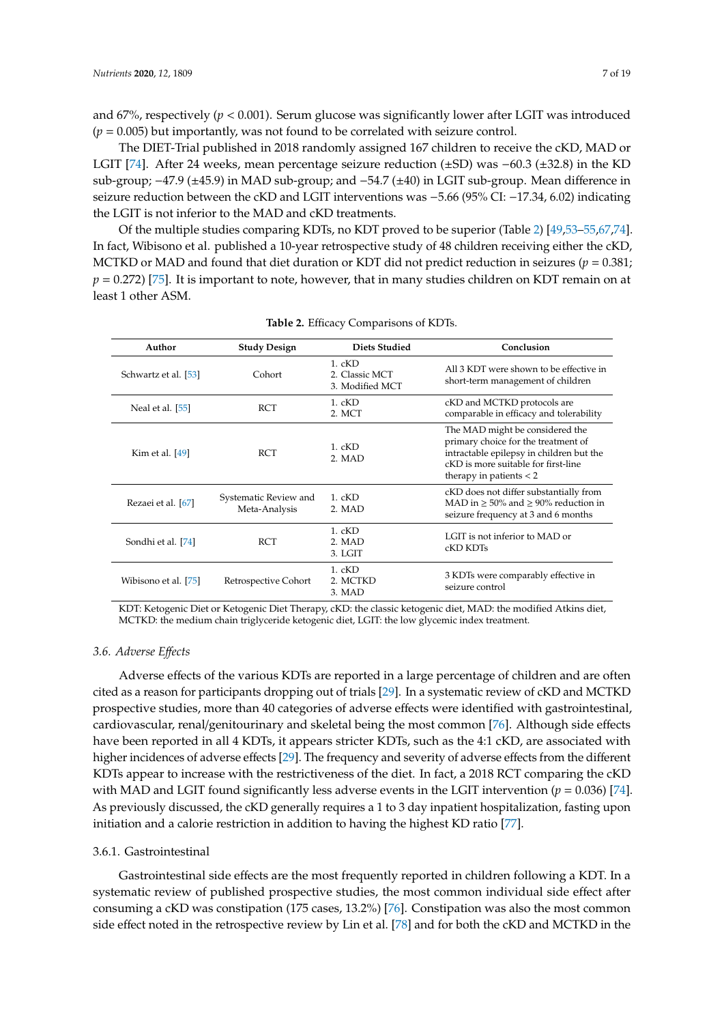and 67%, respectively  $(p < 0.001)$ . Serum glucose was significantly lower after LGIT was introduced (*p* = 0.005) but importantly, was not found to be correlated with seizure control.

The DIET-Trial published in 2018 randomly assigned 167 children to receive the cKD, MAD or LGIT [\[74\]](#page-14-18). After 24 weeks, mean percentage seizure reduction (±SD) was −60.3 (±32.8) in the KD sub-group; −47.9 (±45.9) in MAD sub-group; and −54.7 (±40) in LGIT sub-group. Mean difference in seizure reduction between the cKD and LGIT interventions was -5.66 (95% CI: −17.34, 6.02) indicating the LGIT is not inferior to the MAD and cKD treatments.

Of the multiple studies comparing KDTs, no KDT proved to be superior (Table [2\)](#page-6-0) [\[49,](#page-13-18)[53](#page-13-22)[–55](#page-14-1)[,67](#page-14-11)[,74\]](#page-14-18). In fact, Wibisono et al. published a 10-year retrospective study of 48 children receiving either the cKD, MCTKD or MAD and found that diet duration or KDT did not predict reduction in seizures ( $p = 0.381$ ; *p* = 0.272) [\[75\]](#page-15-0). It is important to note, however, that in many studies children on KDT remain on at least 1 other ASM.

<span id="page-6-0"></span>

| Author               | <b>Study Design</b>                    | Diets Studied                               | Conclusion                                                                                                                                                                             |
|----------------------|----------------------------------------|---------------------------------------------|----------------------------------------------------------------------------------------------------------------------------------------------------------------------------------------|
| Schwartz et al. [53] | Cohort                                 | 1. cKD<br>2. Classic MCT<br>3. Modified MCT | All 3 KDT were shown to be effective in<br>short-term management of children                                                                                                           |
| Neal et al. [55]     | <b>RCT</b>                             | 1. cKD<br>2. MCT                            | cKD and MCTKD protocols are<br>comparable in efficacy and tolerability                                                                                                                 |
| Kim et al. $[49]$    | <b>RCT</b>                             | 1. cKD<br>2. MAD                            | The MAD might be considered the<br>primary choice for the treatment of<br>intractable epilepsy in children but the<br>cKD is more suitable for first-line<br>therapy in patients $<$ 2 |
| Rezaei et al. [67]   | Systematic Review and<br>Meta-Analysis | 1. cKD<br>2. MAD                            | cKD does not differ substantially from<br>MAD in $\geq$ 50% and $\geq$ 90% reduction in<br>seizure frequency at 3 and 6 months                                                         |
| Sondhi et al. [74]   | RCT.                                   | 1. cKD<br>$2$ MAD<br>3. LGIT                | LGIT is not inferior to MAD or<br>cKD KDTs                                                                                                                                             |
| Wibisono et al. [75] | Retrospective Cohort                   | $1.$ $cKD$<br>2. MCTKD<br>3. MAD            | 3 KDTs were comparably effective in<br>seizure control                                                                                                                                 |

**Table 2.** Efficacy Comparisons of KDTs.

KDT: Ketogenic Diet or Ketogenic Diet Therapy, cKD: the classic ketogenic diet, MAD: the modified Atkins diet, MCTKD: the medium chain triglyceride ketogenic diet, LGIT: the low glycemic index treatment.

# *3.6. Adverse E*ff*ects*

Adverse effects of the various KDTs are reported in a large percentage of children and are often cited as a reason for participants dropping out of trials [\[29\]](#page-12-22). In a systematic review of cKD and MCTKD prospective studies, more than 40 categories of adverse effects were identified with gastrointestinal, cardiovascular, renal/genitourinary and skeletal being the most common [\[76\]](#page-15-1). Although side effects have been reported in all 4 KDTs, it appears stricter KDTs, such as the 4:1 cKD, are associated with higher incidences of adverse effects [\[29\]](#page-12-22). The frequency and severity of adverse effects from the different KDTs appear to increase with the restrictiveness of the diet. In fact, a 2018 RCT comparing the cKD with MAD and LGIT found significantly less adverse events in the LGIT intervention  $(p = 0.036)$  [\[74\]](#page-14-18). As previously discussed, the cKD generally requires a 1 to 3 day inpatient hospitalization, fasting upon initiation and a calorie restriction in addition to having the highest KD ratio [\[77\]](#page-15-2).

# 3.6.1. Gastrointestinal

Gastrointestinal side effects are the most frequently reported in children following a KDT. In a systematic review of published prospective studies, the most common individual side effect after consuming a cKD was constipation (175 cases, 13.2%) [\[76\]](#page-15-1). Constipation was also the most common side effect noted in the retrospective review by Lin et al. [\[78\]](#page-15-3) and for both the cKD and MCTKD in the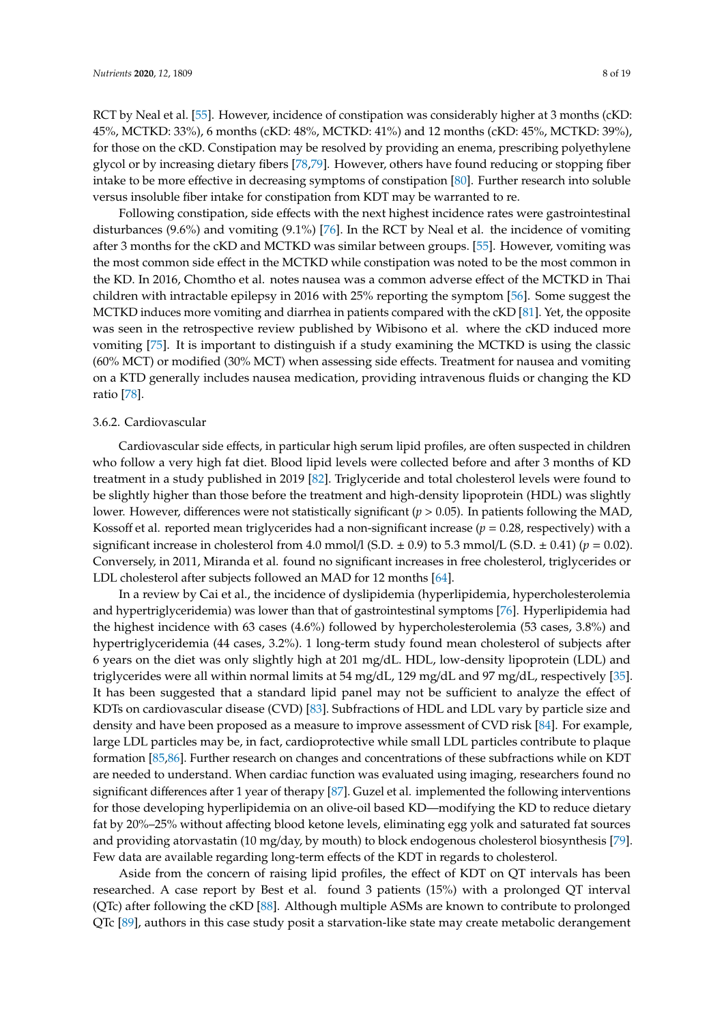RCT by Neal et al. [\[55\]](#page-14-1). However, incidence of constipation was considerably higher at 3 months (cKD: 45%, MCTKD: 33%), 6 months (cKD: 48%, MCTKD: 41%) and 12 months (cKD: 45%, MCTKD: 39%), for those on the cKD. Constipation may be resolved by providing an enema, prescribing polyethylene glycol or by increasing dietary fibers [\[78,](#page-15-3)[79\]](#page-15-4). However, others have found reducing or stopping fiber intake to be more effective in decreasing symptoms of constipation [\[80\]](#page-15-5). Further research into soluble versus insoluble fiber intake for constipation from KDT may be warranted to re.

Following constipation, side effects with the next highest incidence rates were gastrointestinal disturbances (9.6%) and vomiting (9.1%) [\[76\]](#page-15-1). In the RCT by Neal et al. the incidence of vomiting after 3 months for the cKD and MCTKD was similar between groups. [\[55\]](#page-14-1). However, vomiting was the most common side effect in the MCTKD while constipation was noted to be the most common in the KD. In 2016, Chomtho et al. notes nausea was a common adverse effect of the MCTKD in Thai children with intractable epilepsy in 2016 with 25% reporting the symptom [\[56\]](#page-14-2). Some suggest the MCTKD induces more vomiting and diarrhea in patients compared with the cKD [\[81\]](#page-15-6). Yet, the opposite was seen in the retrospective review published by Wibisono et al. where the cKD induced more vomiting [\[75\]](#page-15-0). It is important to distinguish if a study examining the MCTKD is using the classic (60% MCT) or modified (30% MCT) when assessing side effects. Treatment for nausea and vomiting on a KTD generally includes nausea medication, providing intravenous fluids or changing the KD ratio [\[78\]](#page-15-3).

## 3.6.2. Cardiovascular

Cardiovascular side effects, in particular high serum lipid profiles, are often suspected in children who follow a very high fat diet. Blood lipid levels were collected before and after 3 months of KD treatment in a study published in 2019 [\[82\]](#page-15-7). Triglyceride and total cholesterol levels were found to be slightly higher than those before the treatment and high-density lipoprotein (HDL) was slightly lower. However, differences were not statistically significant (*p* > 0.05). In patients following the MAD, Kossoff et al. reported mean triglycerides had a non-significant increase  $(p = 0.28$ , respectively) with a significant increase in cholesterol from 4.0 mmol/l (S.D.  $\pm$  0.9) to 5.3 mmol/L (S.D.  $\pm$  0.41) ( $p = 0.02$ ). Conversely, in 2011, Miranda et al. found no significant increases in free cholesterol, triglycerides or LDL cholesterol after subjects followed an MAD for 12 months [\[64\]](#page-14-19).

In a review by Cai et al., the incidence of dyslipidemia (hyperlipidemia, hypercholesterolemia and hypertriglyceridemia) was lower than that of gastrointestinal symptoms [\[76\]](#page-15-1). Hyperlipidemia had the highest incidence with 63 cases (4.6%) followed by hypercholesterolemia (53 cases, 3.8%) and hypertriglyceridemia (44 cases, 3.2%). 1 long-term study found mean cholesterol of subjects after 6 years on the diet was only slightly high at 201 mg/dL. HDL, low-density lipoprotein (LDL) and triglycerides were all within normal limits at 54 mg/dL, 129 mg/dL and 97 mg/dL, respectively [\[35\]](#page-13-5). It has been suggested that a standard lipid panel may not be sufficient to analyze the effect of KDTs on cardiovascular disease (CVD) [\[83\]](#page-15-8). Subfractions of HDL and LDL vary by particle size and density and have been proposed as a measure to improve assessment of CVD risk [\[84\]](#page-15-9). For example, large LDL particles may be, in fact, cardioprotective while small LDL particles contribute to plaque formation [\[85](#page-15-10)[,86\]](#page-15-11). Further research on changes and concentrations of these subfractions while on KDT are needed to understand. When cardiac function was evaluated using imaging, researchers found no significant differences after 1 year of therapy [\[87\]](#page-15-12). Guzel et al. implemented the following interventions for those developing hyperlipidemia on an olive-oil based KD—modifying the KD to reduce dietary fat by 20%–25% without affecting blood ketone levels, eliminating egg yolk and saturated fat sources and providing atorvastatin (10 mg/day, by mouth) to block endogenous cholesterol biosynthesis [\[79\]](#page-15-4). Few data are available regarding long-term effects of the KDT in regards to cholesterol.

Aside from the concern of raising lipid profiles, the effect of KDT on QT intervals has been researched. A case report by Best et al. found 3 patients (15%) with a prolonged QT interval (QTc) after following the cKD [\[88\]](#page-15-13). Although multiple ASMs are known to contribute to prolonged QTc [\[89\]](#page-15-14), authors in this case study posit a starvation-like state may create metabolic derangement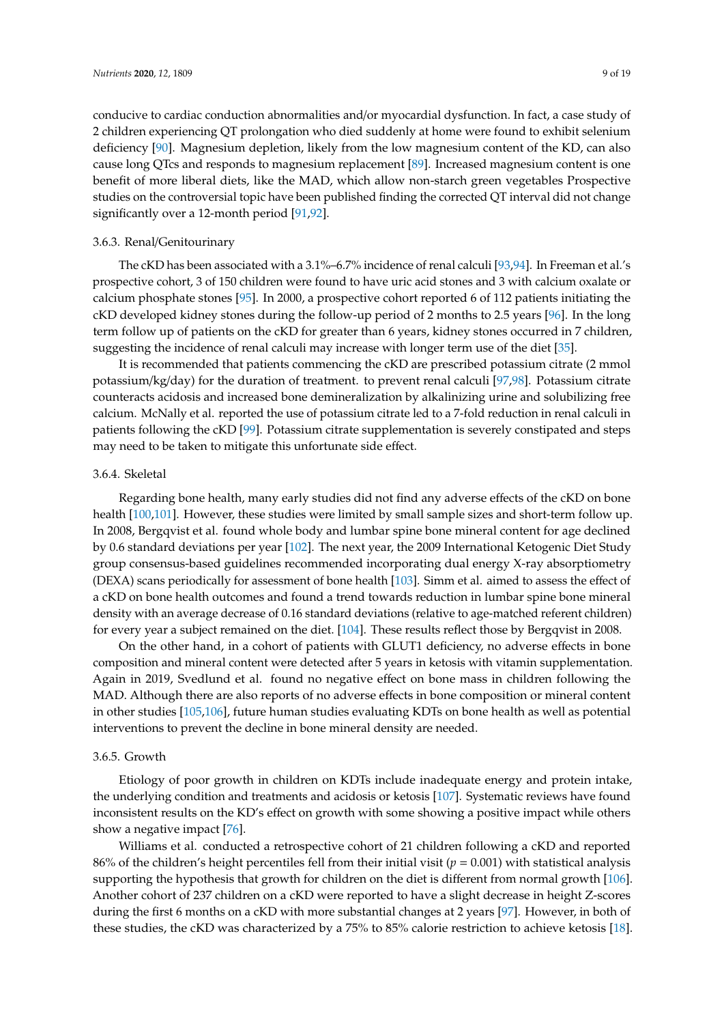conducive to cardiac conduction abnormalities and/or myocardial dysfunction. In fact, a case study of 2 children experiencing QT prolongation who died suddenly at home were found to exhibit selenium deficiency [\[90\]](#page-15-15). Magnesium depletion, likely from the low magnesium content of the KD, can also cause long QTcs and responds to magnesium replacement [\[89\]](#page-15-14). Increased magnesium content is one benefit of more liberal diets, like the MAD, which allow non-starch green vegetables Prospective studies on the controversial topic have been published finding the corrected QT interval did not change significantly over a 12-month period [\[91](#page-15-16)[,92\]](#page-15-17).

#### 3.6.3. Renal/Genitourinary

The cKD has been associated with a 3.1%–6.7% incidence of renal calculi [\[93](#page-15-18)[,94\]](#page-15-19). In Freeman et al.'s prospective cohort, 3 of 150 children were found to have uric acid stones and 3 with calcium oxalate or calcium phosphate stones [\[95\]](#page-15-20). In 2000, a prospective cohort reported 6 of 112 patients initiating the cKD developed kidney stones during the follow-up period of 2 months to 2.5 years [\[96\]](#page-15-21). In the long term follow up of patients on the cKD for greater than 6 years, kidney stones occurred in 7 children, suggesting the incidence of renal calculi may increase with longer term use of the diet [\[35\]](#page-13-5).

It is recommended that patients commencing the cKD are prescribed potassium citrate (2 mmol potassium/kg/day) for the duration of treatment. to prevent renal calculi [\[97,](#page-15-22)[98\]](#page-16-0). Potassium citrate counteracts acidosis and increased bone demineralization by alkalinizing urine and solubilizing free calcium. McNally et al. reported the use of potassium citrate led to a 7-fold reduction in renal calculi in patients following the cKD [\[99\]](#page-16-1). Potassium citrate supplementation is severely constipated and steps may need to be taken to mitigate this unfortunate side effect.

# 3.6.4. Skeletal

Regarding bone health, many early studies did not find any adverse effects of the cKD on bone health [\[100](#page-16-2)[,101\]](#page-16-3). However, these studies were limited by small sample sizes and short-term follow up. In 2008, Bergqvist et al. found whole body and lumbar spine bone mineral content for age declined by 0.6 standard deviations per year [\[102\]](#page-16-4). The next year, the 2009 International Ketogenic Diet Study group consensus-based guidelines recommended incorporating dual energy X-ray absorptiometry (DEXA) scans periodically for assessment of bone health [\[103\]](#page-16-5). Simm et al. aimed to assess the effect of a cKD on bone health outcomes and found a trend towards reduction in lumbar spine bone mineral density with an average decrease of 0.16 standard deviations (relative to age-matched referent children) for every year a subject remained on the diet. [\[104\]](#page-16-6). These results reflect those by Bergqvist in 2008.

On the other hand, in a cohort of patients with GLUT1 deficiency, no adverse effects in bone composition and mineral content were detected after 5 years in ketosis with vitamin supplementation. Again in 2019, Svedlund et al. found no negative effect on bone mass in children following the MAD. Although there are also reports of no adverse effects in bone composition or mineral content in other studies [\[105](#page-16-7)[,106\]](#page-16-8), future human studies evaluating KDTs on bone health as well as potential interventions to prevent the decline in bone mineral density are needed.

#### 3.6.5. Growth

Etiology of poor growth in children on KDTs include inadequate energy and protein intake, the underlying condition and treatments and acidosis or ketosis [\[107\]](#page-16-9). Systematic reviews have found inconsistent results on the KD's effect on growth with some showing a positive impact while others show a negative impact [\[76\]](#page-15-1).

Williams et al. conducted a retrospective cohort of 21 children following a cKD and reported 86% of the children's height percentiles fell from their initial visit (*p* = 0.001) with statistical analysis supporting the hypothesis that growth for children on the diet is different from normal growth [\[106\]](#page-16-8). Another cohort of 237 children on a cKD were reported to have a slight decrease in height Z-scores during the first 6 months on a cKD with more substantial changes at 2 years [\[97\]](#page-15-22). However, in both of these studies, the cKD was characterized by a 75% to 85% calorie restriction to achieve ketosis [\[18\]](#page-12-11).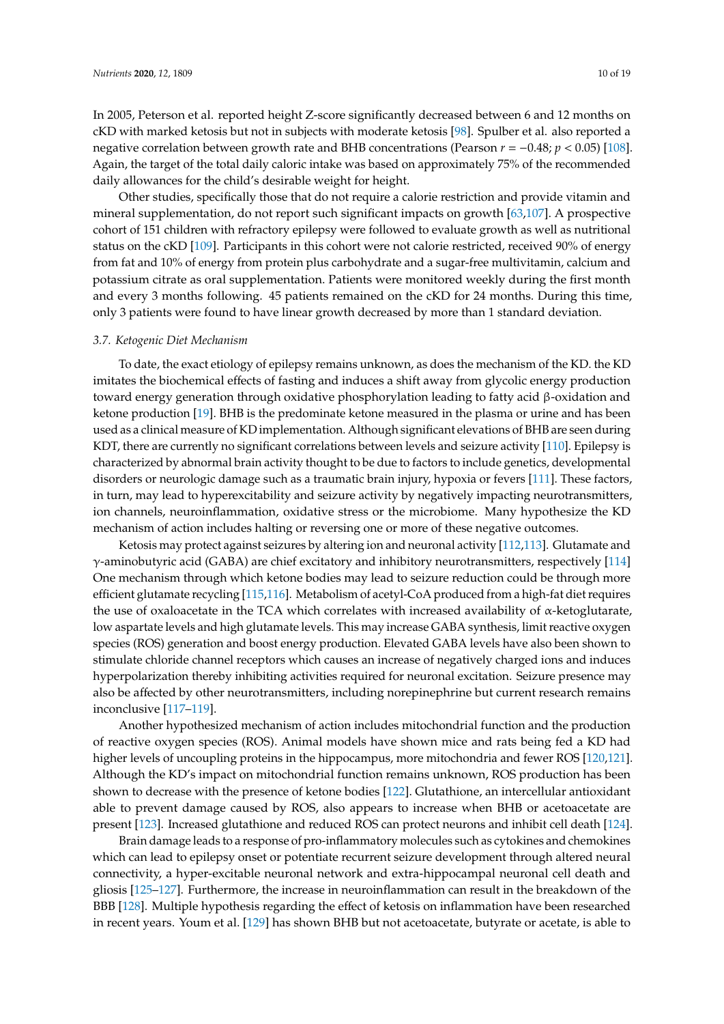In 2005, Peterson et al. reported height Z-score significantly decreased between 6 and 12 months on cKD with marked ketosis but not in subjects with moderate ketosis [\[98\]](#page-16-0). Spulber et al. also reported a negative correlation between growth rate and BHB concentrations (Pearson *r* = −0.48; *p* < 0.05) [\[108\]](#page-16-10). Again, the target of the total daily caloric intake was based on approximately 75% of the recommended daily allowances for the child's desirable weight for height.

Other studies, specifically those that do not require a calorie restriction and provide vitamin and mineral supplementation, do not report such significant impacts on growth [\[63,](#page-14-9)[107\]](#page-16-9). A prospective cohort of 151 children with refractory epilepsy were followed to evaluate growth as well as nutritional status on the cKD [\[109\]](#page-16-11). Participants in this cohort were not calorie restricted, received 90% of energy from fat and 10% of energy from protein plus carbohydrate and a sugar-free multivitamin, calcium and potassium citrate as oral supplementation. Patients were monitored weekly during the first month and every 3 months following. 45 patients remained on the cKD for 24 months. During this time, only 3 patients were found to have linear growth decreased by more than 1 standard deviation.

#### *3.7. Ketogenic Diet Mechanism*

To date, the exact etiology of epilepsy remains unknown, as does the mechanism of the KD. the KD imitates the biochemical effects of fasting and induces a shift away from glycolic energy production toward energy generation through oxidative phosphorylation leading to fatty acid β-oxidation and ketone production [\[19\]](#page-12-12). BHB is the predominate ketone measured in the plasma or urine and has been used as a clinical measure of KD implementation. Although significant elevations of BHB are seen during KDT, there are currently no significant correlations between levels and seizure activity [\[110\]](#page-16-12). Epilepsy is characterized by abnormal brain activity thought to be due to factors to include genetics, developmental disorders or neurologic damage such as a traumatic brain injury, hypoxia or fevers [\[111\]](#page-16-13). These factors, in turn, may lead to hyperexcitability and seizure activity by negatively impacting neurotransmitters, ion channels, neuroinflammation, oxidative stress or the microbiome. Many hypothesize the KD mechanism of action includes halting or reversing one or more of these negative outcomes.

Ketosis may protect against seizures by altering ion and neuronal activity [\[112](#page-16-14)[,113\]](#page-16-15). Glutamate and  $\gamma$ -aminobutyric acid (GABA) are chief excitatory and inhibitory neurotransmitters, respectively [\[114\]](#page-16-16) One mechanism through which ketone bodies may lead to seizure reduction could be through more efficient glutamate recycling [\[115,](#page-16-17)[116\]](#page-16-18). Metabolism of acetyl-CoA produced from a high-fat diet requires the use of oxaloacetate in the TCA which correlates with increased availability of  $\alpha$ -ketoglutarate, low aspartate levels and high glutamate levels. This may increase GABA synthesis, limit reactive oxygen species (ROS) generation and boost energy production. Elevated GABA levels have also been shown to stimulate chloride channel receptors which causes an increase of negatively charged ions and induces hyperpolarization thereby inhibiting activities required for neuronal excitation. Seizure presence may also be affected by other neurotransmitters, including norepinephrine but current research remains inconclusive [\[117](#page-16-19)[–119\]](#page-17-0).

Another hypothesized mechanism of action includes mitochondrial function and the production of reactive oxygen species (ROS). Animal models have shown mice and rats being fed a KD had higher levels of uncoupling proteins in the hippocampus, more mitochondria and fewer ROS [\[120](#page-17-1)[,121\]](#page-17-2). Although the KD's impact on mitochondrial function remains unknown, ROS production has been shown to decrease with the presence of ketone bodies [\[122\]](#page-17-3). Glutathione, an intercellular antioxidant able to prevent damage caused by ROS, also appears to increase when BHB or acetoacetate are present [\[123\]](#page-17-4). Increased glutathione and reduced ROS can protect neurons and inhibit cell death [\[124\]](#page-17-5).

Brain damage leads to a response of pro-inflammatory molecules such as cytokines and chemokines which can lead to epilepsy onset or potentiate recurrent seizure development through altered neural connectivity, a hyper-excitable neuronal network and extra-hippocampal neuronal cell death and gliosis [\[125](#page-17-6)[–127\]](#page-17-7). Furthermore, the increase in neuroinflammation can result in the breakdown of the BBB [\[128\]](#page-17-8). Multiple hypothesis regarding the effect of ketosis on inflammation have been researched in recent years. Youm et al. [\[129\]](#page-17-9) has shown BHB but not acetoacetate, butyrate or acetate, is able to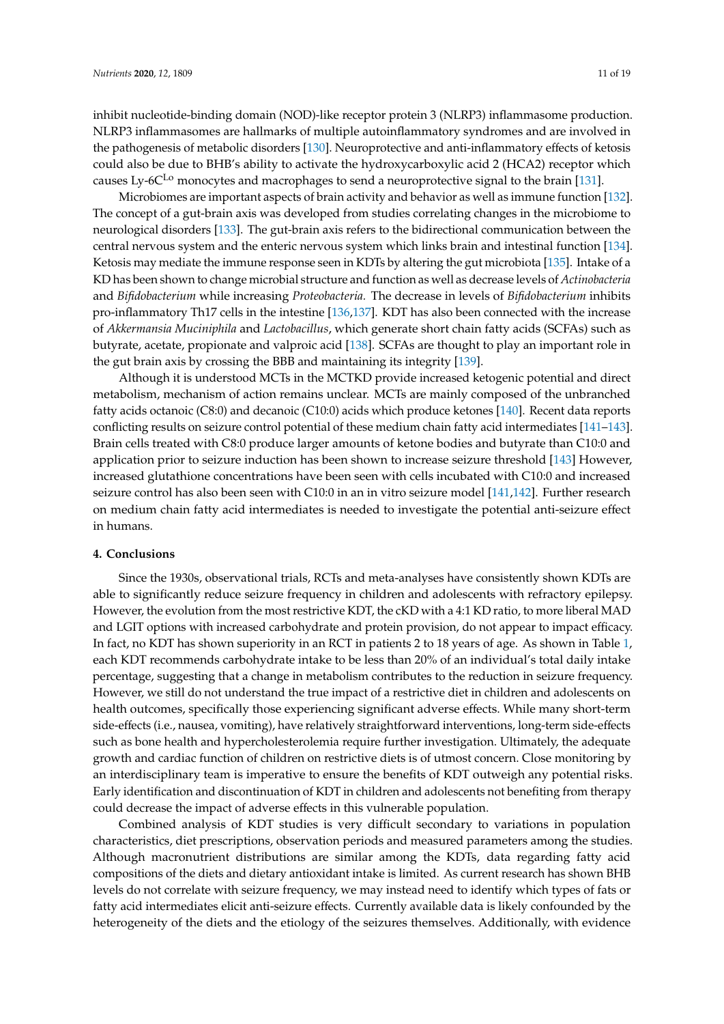inhibit nucleotide-binding domain (NOD)-like receptor protein 3 (NLRP3) inflammasome production. NLRP3 inflammasomes are hallmarks of multiple autoinflammatory syndromes and are involved in the pathogenesis of metabolic disorders [\[130\]](#page-17-10). Neuroprotective and anti-inflammatory effects of ketosis could also be due to BHB's ability to activate the hydroxycarboxylic acid 2 (HCA2) receptor which causes Ly-6C<sup>Lo</sup> monocytes and macrophages to send a neuroprotective signal to the brain [\[131\]](#page-17-11).

Microbiomes are important aspects of brain activity and behavior as well as immune function [\[132\]](#page-17-12). The concept of a gut-brain axis was developed from studies correlating changes in the microbiome to neurological disorders [\[133\]](#page-17-13). The gut-brain axis refers to the bidirectional communication between the central nervous system and the enteric nervous system which links brain and intestinal function [\[134\]](#page-17-14). Ketosis may mediate the immune response seen in KDTs by altering the gut microbiota [\[135\]](#page-17-15). Intake of a KD has been shown to change microbial structure and function as well as decrease levels of *Actinobacteria* and *Bifidobacterium* while increasing *Proteobacteria.* The decrease in levels of *Bifidobacterium* inhibits pro-inflammatory Th17 cells in the intestine [\[136,](#page-17-16)[137\]](#page-17-17). KDT has also been connected with the increase of *Akkermansia Muciniphila* and *Lactobacillus*, which generate short chain fatty acids (SCFAs) such as butyrate, acetate, propionate and valproic acid [\[138\]](#page-18-0). SCFAs are thought to play an important role in the gut brain axis by crossing the BBB and maintaining its integrity [\[139\]](#page-18-1).

Although it is understood MCTs in the MCTKD provide increased ketogenic potential and direct metabolism, mechanism of action remains unclear. MCTs are mainly composed of the unbranched fatty acids octanoic (C8:0) and decanoic (C10:0) acids which produce ketones [\[140\]](#page-18-2). Recent data reports conflicting results on seizure control potential of these medium chain fatty acid intermediates [\[141–](#page-18-3)[143\]](#page-18-4). Brain cells treated with C8:0 produce larger amounts of ketone bodies and butyrate than C10:0 and application prior to seizure induction has been shown to increase seizure threshold [\[143\]](#page-18-4) However, increased glutathione concentrations have been seen with cells incubated with C10:0 and increased seizure control has also been seen with C10:0 in an in vitro seizure model [\[141](#page-18-3)[,142\]](#page-18-5). Further research on medium chain fatty acid intermediates is needed to investigate the potential anti-seizure effect in humans.

# **4. Conclusions**

Since the 1930s, observational trials, RCTs and meta-analyses have consistently shown KDTs are able to significantly reduce seizure frequency in children and adolescents with refractory epilepsy. However, the evolution from the most restrictive KDT, the cKD with a 4:1 KD ratio, to more liberal MAD and LGIT options with increased carbohydrate and protein provision, do not appear to impact efficacy. In fact, no KDT has shown superiority in an RCT in patients 2 to 18 years of age. As shown in Table [1,](#page-1-0) each KDT recommends carbohydrate intake to be less than 20% of an individual's total daily intake percentage, suggesting that a change in metabolism contributes to the reduction in seizure frequency. However, we still do not understand the true impact of a restrictive diet in children and adolescents on health outcomes, specifically those experiencing significant adverse effects. While many short-term side-effects (i.e., nausea, vomiting), have relatively straightforward interventions, long-term side-effects such as bone health and hypercholesterolemia require further investigation. Ultimately, the adequate growth and cardiac function of children on restrictive diets is of utmost concern. Close monitoring by an interdisciplinary team is imperative to ensure the benefits of KDT outweigh any potential risks. Early identification and discontinuation of KDT in children and adolescents not benefiting from therapy could decrease the impact of adverse effects in this vulnerable population.

Combined analysis of KDT studies is very difficult secondary to variations in population characteristics, diet prescriptions, observation periods and measured parameters among the studies. Although macronutrient distributions are similar among the KDTs, data regarding fatty acid compositions of the diets and dietary antioxidant intake is limited. As current research has shown BHB levels do not correlate with seizure frequency, we may instead need to identify which types of fats or fatty acid intermediates elicit anti-seizure effects. Currently available data is likely confounded by the heterogeneity of the diets and the etiology of the seizures themselves. Additionally, with evidence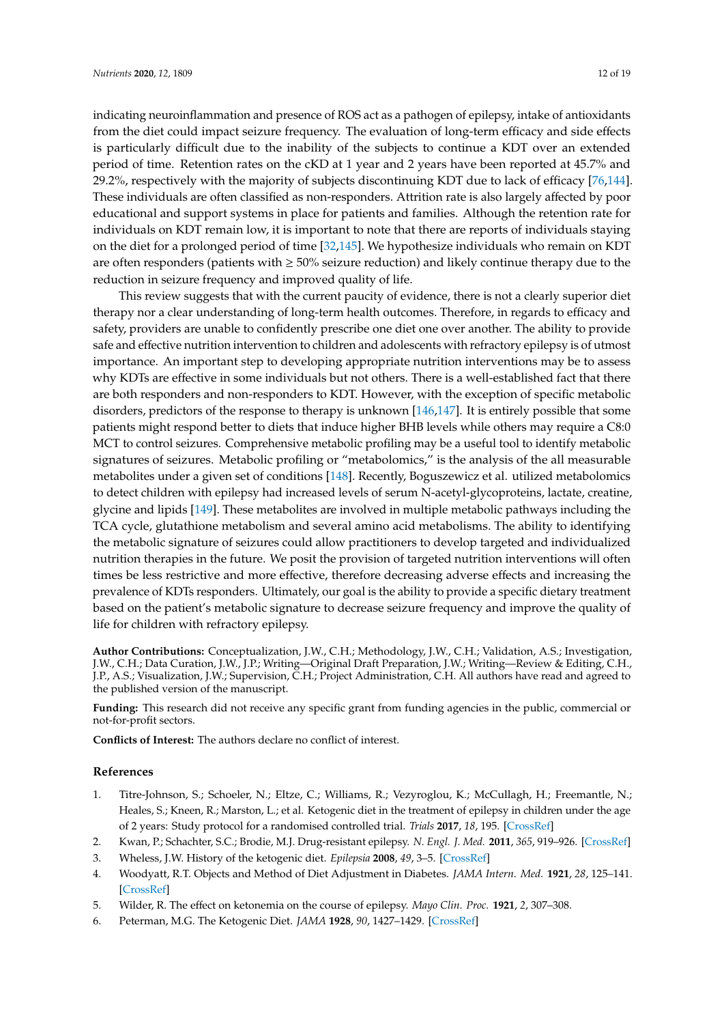indicating neuroinflammation and presence of ROS act as a pathogen of epilepsy, intake of antioxidants from the diet could impact seizure frequency. The evaluation of long-term efficacy and side effects is particularly difficult due to the inability of the subjects to continue a KDT over an extended period of time. Retention rates on the cKD at 1 year and 2 years have been reported at 45.7% and 29.2%, respectively with the majority of subjects discontinuing KDT due to lack of efficacy [\[76,](#page-15-1)[144\]](#page-18-6). These individuals are often classified as non-responders. Attrition rate is also largely affected by poor educational and support systems in place for patients and families. Although the retention rate for individuals on KDT remain low, it is important to note that there are reports of individuals staying on the diet for a prolonged period of time [\[32](#page-13-2)[,145\]](#page-18-7). We hypothesize individuals who remain on KDT are often responders (patients with ≥ 50% seizure reduction) and likely continue therapy due to the reduction in seizure frequency and improved quality of life.

This review suggests that with the current paucity of evidence, there is not a clearly superior diet therapy nor a clear understanding of long-term health outcomes. Therefore, in regards to efficacy and safety, providers are unable to confidently prescribe one diet one over another. The ability to provide safe and effective nutrition intervention to children and adolescents with refractory epilepsy is of utmost importance. An important step to developing appropriate nutrition interventions may be to assess why KDTs are effective in some individuals but not others. There is a well-established fact that there are both responders and non-responders to KDT. However, with the exception of specific metabolic disorders, predictors of the response to therapy is unknown [\[146,](#page-18-8)[147\]](#page-18-9). It is entirely possible that some patients might respond better to diets that induce higher BHB levels while others may require a C8:0 MCT to control seizures. Comprehensive metabolic profiling may be a useful tool to identify metabolic signatures of seizures. Metabolic profiling or "metabolomics," is the analysis of the all measurable metabolites under a given set of conditions [\[148\]](#page-18-10). Recently, Boguszewicz et al. utilized metabolomics to detect children with epilepsy had increased levels of serum N-acetyl-glycoproteins, lactate, creatine, glycine and lipids [\[149\]](#page-18-11). These metabolites are involved in multiple metabolic pathways including the TCA cycle, glutathione metabolism and several amino acid metabolisms. The ability to identifying the metabolic signature of seizures could allow practitioners to develop targeted and individualized nutrition therapies in the future. We posit the provision of targeted nutrition interventions will often times be less restrictive and more effective, therefore decreasing adverse effects and increasing the prevalence of KDTs responders. Ultimately, our goal is the ability to provide a specific dietary treatment based on the patient's metabolic signature to decrease seizure frequency and improve the quality of life for children with refractory epilepsy.

**Author Contributions:** Conceptualization, J.W., C.H.; Methodology, J.W., C.H.; Validation, A.S.; Investigation, J.W., C.H.; Data Curation, J.W., J.P.; Writing—Original Draft Preparation, J.W.; Writing—Review & Editing, C.H., J.P., A.S.; Visualization, J.W.; Supervision, C.H.; Project Administration, C.H. All authors have read and agreed to the published version of the manuscript.

**Funding:** This research did not receive any specific grant from funding agencies in the public, commercial or not-for-profit sectors.

**Conflicts of Interest:** The authors declare no conflict of interest.

# **References**

- <span id="page-11-0"></span>1. Titre-Johnson, S.; Schoeler, N.; Eltze, C.; Williams, R.; Vezyroglou, K.; McCullagh, H.; Freemantle, N.; Heales, S.; Kneen, R.; Marston, L.; et al. Ketogenic diet in the treatment of epilepsy in children under the age of 2 years: Study protocol for a randomised controlled trial. *Trials* **2017**, *18*, 195. [\[CrossRef\]](http://dx.doi.org/10.1186/s13063-017-1918-3)
- <span id="page-11-1"></span>2. Kwan, P.; Schachter, S.C.; Brodie, M.J. Drug-resistant epilepsy. *N. Engl. J. Med.* **2011**, *365*, 919–926. [\[CrossRef\]](http://dx.doi.org/10.1056/NEJMra1004418)
- <span id="page-11-2"></span>3. Wheless, J.W. History of the ketogenic diet. *Epilepsia* **2008**, *49*, 3–5. [\[CrossRef\]](http://dx.doi.org/10.1111/j.1528-1167.2008.01821.x)
- <span id="page-11-3"></span>4. Woodyatt, R.T. Objects and Method of Diet Adjustment in Diabetes. *JAMA Intern. Med.* **1921**, *28*, 125–141. [\[CrossRef\]](http://dx.doi.org/10.1001/archinte.1921.00100140002001)
- <span id="page-11-4"></span>5. Wilder, R. The effect on ketonemia on the course of epilepsy. *Mayo Clin. Proc.* **1921**, *2*, 307–308.
- <span id="page-11-5"></span>6. Peterman, M.G. The Ketogenic Diet. *JAMA* **1928**, *90*, 1427–1429. [\[CrossRef\]](http://dx.doi.org/10.1001/jama.1928.02690450007003)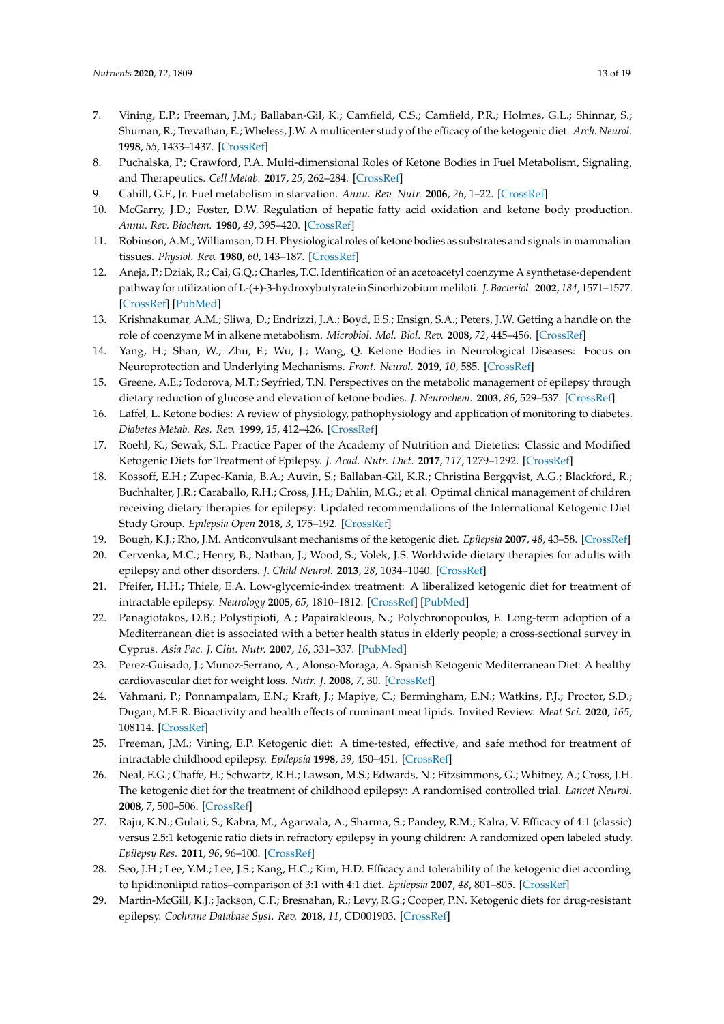- <span id="page-12-0"></span>7. Vining, E.P.; Freeman, J.M.; Ballaban-Gil, K.; Camfield, C.S.; Camfield, P.R.; Holmes, G.L.; Shinnar, S.; Shuman, R.; Trevathan, E.; Wheless, J.W. A multicenter study of the efficacy of the ketogenic diet. *Arch. Neurol.* **1998**, *55*, 1433–1437. [\[CrossRef\]](http://dx.doi.org/10.1001/archneur.55.11.1433)
- <span id="page-12-1"></span>8. Puchalska, P.; Crawford, P.A. Multi-dimensional Roles of Ketone Bodies in Fuel Metabolism, Signaling, and Therapeutics. *Cell Metab.* **2017**, *25*, 262–284. [\[CrossRef\]](http://dx.doi.org/10.1016/j.cmet.2016.12.022)
- <span id="page-12-2"></span>9. Cahill, G.F., Jr. Fuel metabolism in starvation. *Annu. Rev. Nutr.* **2006**, *26*, 1–22. [\[CrossRef\]](http://dx.doi.org/10.1146/annurev.nutr.26.061505.111258)
- <span id="page-12-3"></span>10. McGarry, J.D.; Foster, D.W. Regulation of hepatic fatty acid oxidation and ketone body production. *Annu. Rev. Biochem.* **1980**, *49*, 395–420. [\[CrossRef\]](http://dx.doi.org/10.1146/annurev.bi.49.070180.002143)
- <span id="page-12-4"></span>11. Robinson, A.M.; Williamson, D.H. Physiological roles of ketone bodies as substrates and signals in mammalian tissues. *Physiol. Rev.* **1980**, *60*, 143–187. [\[CrossRef\]](http://dx.doi.org/10.1152/physrev.1980.60.1.143)
- <span id="page-12-5"></span>12. Aneja, P.; Dziak, R.; Cai, G.Q.; Charles, T.C. Identification of an acetoacetyl coenzyme A synthetase-dependent pathway for utilization of L-(+)-3-hydroxybutyrate in Sinorhizobium meliloti. *J. Bacteriol.* **2002**, *184*, 1571–1577. [\[CrossRef\]](http://dx.doi.org/10.1128/JB.184.6.1571-1577.2002) [\[PubMed\]](http://www.ncbi.nlm.nih.gov/pubmed/11872708)
- <span id="page-12-6"></span>13. Krishnakumar, A.M.; Sliwa, D.; Endrizzi, J.A.; Boyd, E.S.; Ensign, S.A.; Peters, J.W. Getting a handle on the role of coenzyme M in alkene metabolism. *Microbiol. Mol. Biol. Rev.* **2008**, *72*, 445–456. [\[CrossRef\]](http://dx.doi.org/10.1128/MMBR.00005-08)
- <span id="page-12-7"></span>14. Yang, H.; Shan, W.; Zhu, F.; Wu, J.; Wang, Q. Ketone Bodies in Neurological Diseases: Focus on Neuroprotection and Underlying Mechanisms. *Front. Neurol.* **2019**, *10*, 585. [\[CrossRef\]](http://dx.doi.org/10.3389/fneur.2019.00585)
- <span id="page-12-8"></span>15. Greene, A.E.; Todorova, M.T.; Seyfried, T.N. Perspectives on the metabolic management of epilepsy through dietary reduction of glucose and elevation of ketone bodies. *J. Neurochem.* **2003**, *86*, 529–537. [\[CrossRef\]](http://dx.doi.org/10.1046/j.1471-4159.2003.01862.x)
- <span id="page-12-9"></span>16. Laffel, L. Ketone bodies: A review of physiology, pathophysiology and application of monitoring to diabetes. *Diabetes Metab. Res. Rev.* **1999**, *15*, 412–426. [\[CrossRef\]](http://dx.doi.org/10.1002/(SICI)1520-7560(199911/12)15:6<412::AID-DMRR72>3.0.CO;2-8)
- <span id="page-12-10"></span>17. Roehl, K.; Sewak, S.L. Practice Paper of the Academy of Nutrition and Dietetics: Classic and Modified Ketogenic Diets for Treatment of Epilepsy. *J. Acad. Nutr. Diet.* **2017**, *117*, 1279–1292. [\[CrossRef\]](http://dx.doi.org/10.1016/j.jand.2017.06.006)
- <span id="page-12-11"></span>18. Kossoff, E.H.; Zupec-Kania, B.A.; Auvin, S.; Ballaban-Gil, K.R.; Christina Bergqvist, A.G.; Blackford, R.; Buchhalter, J.R.; Caraballo, R.H.; Cross, J.H.; Dahlin, M.G.; et al. Optimal clinical management of children receiving dietary therapies for epilepsy: Updated recommendations of the International Ketogenic Diet Study Group. *Epilepsia Open* **2018**, *3*, 175–192. [\[CrossRef\]](http://dx.doi.org/10.1002/epi4.12225)
- <span id="page-12-12"></span>19. Bough, K.J.; Rho, J.M. Anticonvulsant mechanisms of the ketogenic diet. *Epilepsia* **2007**, *48*, 43–58. [\[CrossRef\]](http://dx.doi.org/10.1111/j.1528-1167.2007.00915.x)
- <span id="page-12-13"></span>20. Cervenka, M.C.; Henry, B.; Nathan, J.; Wood, S.; Volek, J.S. Worldwide dietary therapies for adults with epilepsy and other disorders. *J. Child Neurol.* **2013**, *28*, 1034–1040. [\[CrossRef\]](http://dx.doi.org/10.1177/0883073813488671)
- <span id="page-12-14"></span>21. Pfeifer, H.H.; Thiele, E.A. Low-glycemic-index treatment: A liberalized ketogenic diet for treatment of intractable epilepsy. *Neurology* **2005**, *65*, 1810–1812. [\[CrossRef\]](http://dx.doi.org/10.1212/01.wnl.0000187071.24292.9e) [\[PubMed\]](http://www.ncbi.nlm.nih.gov/pubmed/16344529)
- <span id="page-12-15"></span>22. Panagiotakos, D.B.; Polystipioti, A.; Papairakleous, N.; Polychronopoulos, E. Long-term adoption of a Mediterranean diet is associated with a better health status in elderly people; a cross-sectional survey in Cyprus. *Asia Pac. J. Clin. Nutr.* **2007**, *16*, 331–337. [\[PubMed\]](http://www.ncbi.nlm.nih.gov/pubmed/17468091)
- <span id="page-12-16"></span>23. Perez-Guisado, J.; Munoz-Serrano, A.; Alonso-Moraga, A. Spanish Ketogenic Mediterranean Diet: A healthy cardiovascular diet for weight loss. *Nutr. J.* **2008**, *7*, 30. [\[CrossRef\]](http://dx.doi.org/10.1186/1475-2891-7-30)
- <span id="page-12-17"></span>24. Vahmani, P.; Ponnampalam, E.N.; Kraft, J.; Mapiye, C.; Bermingham, E.N.; Watkins, P.J.; Proctor, S.D.; Dugan, M.E.R. Bioactivity and health effects of ruminant meat lipids. Invited Review. *Meat Sci.* **2020**, *165*, 108114. [\[CrossRef\]](http://dx.doi.org/10.1016/j.meatsci.2020.108114)
- <span id="page-12-18"></span>25. Freeman, J.M.; Vining, E.P. Ketogenic diet: A time-tested, effective, and safe method for treatment of intractable childhood epilepsy. *Epilepsia* **1998**, *39*, 450–451. [\[CrossRef\]](http://dx.doi.org/10.1111/j.1528-1157.1998.tb01400.x)
- <span id="page-12-19"></span>26. Neal, E.G.; Chaffe, H.; Schwartz, R.H.; Lawson, M.S.; Edwards, N.; Fitzsimmons, G.; Whitney, A.; Cross, J.H. The ketogenic diet for the treatment of childhood epilepsy: A randomised controlled trial. *Lancet Neurol.* **2008**, *7*, 500–506. [\[CrossRef\]](http://dx.doi.org/10.1016/S1474-4422(08)70092-9)
- <span id="page-12-20"></span>27. Raju, K.N.; Gulati, S.; Kabra, M.; Agarwala, A.; Sharma, S.; Pandey, R.M.; Kalra, V. Efficacy of 4:1 (classic) versus 2.5:1 ketogenic ratio diets in refractory epilepsy in young children: A randomized open labeled study. *Epilepsy Res.* **2011**, *96*, 96–100. [\[CrossRef\]](http://dx.doi.org/10.1016/j.eplepsyres.2011.05.005)
- <span id="page-12-21"></span>28. Seo, J.H.; Lee, Y.M.; Lee, J.S.; Kang, H.C.; Kim, H.D. Efficacy and tolerability of the ketogenic diet according to lipid:nonlipid ratios–comparison of 3:1 with 4:1 diet. *Epilepsia* **2007**, *48*, 801–805. [\[CrossRef\]](http://dx.doi.org/10.1111/j.1528-1167.2007.01025.x)
- <span id="page-12-22"></span>29. Martin-McGill, K.J.; Jackson, C.F.; Bresnahan, R.; Levy, R.G.; Cooper, P.N. Ketogenic diets for drug-resistant epilepsy. *Cochrane Database Syst. Rev.* **2018**, *11*, CD001903. [\[CrossRef\]](http://dx.doi.org/10.1002/14651858.CD001903.pub4)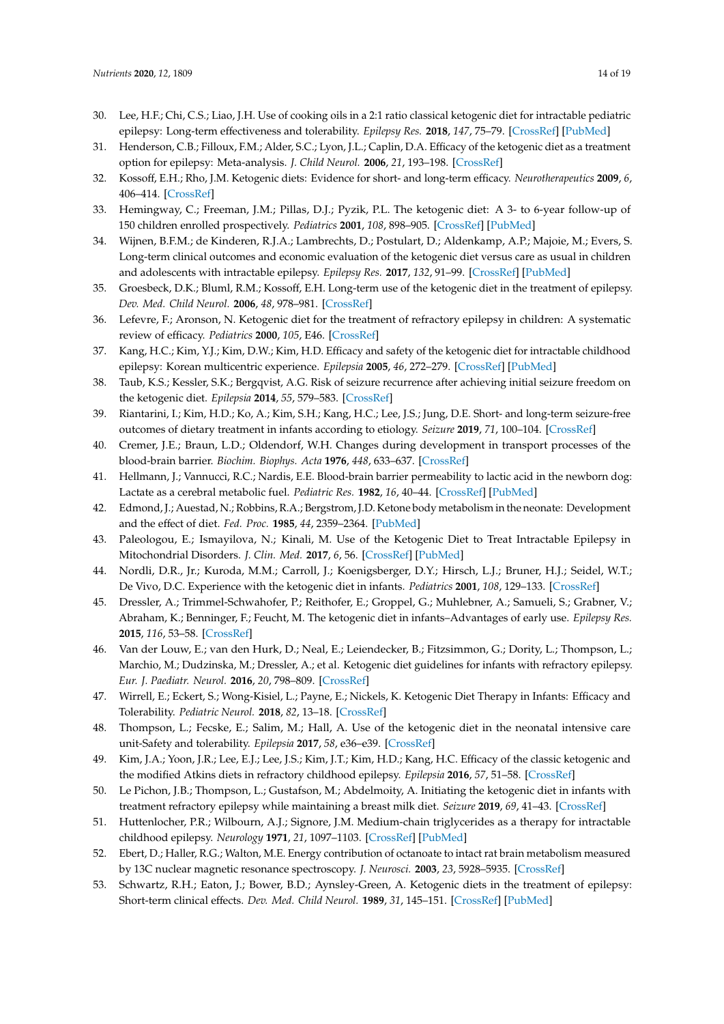- <span id="page-13-0"></span>30. Lee, H.F.; Chi, C.S.; Liao, J.H. Use of cooking oils in a 2:1 ratio classical ketogenic diet for intractable pediatric epilepsy: Long-term effectiveness and tolerability. *Epilepsy Res.* **2018**, *147*, 75–79. [\[CrossRef\]](http://dx.doi.org/10.1016/j.eplepsyres.2018.09.002) [\[PubMed\]](http://www.ncbi.nlm.nih.gov/pubmed/30273790)
- <span id="page-13-1"></span>31. Henderson, C.B.; Filloux, F.M.; Alder, S.C.; Lyon, J.L.; Caplin, D.A. Efficacy of the ketogenic diet as a treatment option for epilepsy: Meta-analysis. *J. Child Neurol.* **2006**, *21*, 193–198. [\[CrossRef\]](http://dx.doi.org/10.2310/7010.2006.00044)
- <span id="page-13-2"></span>32. Kossoff, E.H.; Rho, J.M. Ketogenic diets: Evidence for short- and long-term efficacy. *Neurotherapeutics* **2009**, *6*, 406–414. [\[CrossRef\]](http://dx.doi.org/10.1016/j.nurt.2009.01.005)
- <span id="page-13-3"></span>33. Hemingway, C.; Freeman, J.M.; Pillas, D.J.; Pyzik, P.L. The ketogenic diet: A 3- to 6-year follow-up of 150 children enrolled prospectively. *Pediatrics* **2001**, *108*, 898–905. [\[CrossRef\]](http://dx.doi.org/10.1542/peds.108.4.898) [\[PubMed\]](http://www.ncbi.nlm.nih.gov/pubmed/11581442)
- <span id="page-13-4"></span>34. Wijnen, B.F.M.; de Kinderen, R.J.A.; Lambrechts, D.; Postulart, D.; Aldenkamp, A.P.; Majoie, M.; Evers, S. Long-term clinical outcomes and economic evaluation of the ketogenic diet versus care as usual in children and adolescents with intractable epilepsy. *Epilepsy Res.* **2017**, *132*, 91–99. [\[CrossRef\]](http://dx.doi.org/10.1016/j.eplepsyres.2017.03.002) [\[PubMed\]](http://www.ncbi.nlm.nih.gov/pubmed/28364726)
- <span id="page-13-5"></span>35. Groesbeck, D.K.; Bluml, R.M.; Kossoff, E.H. Long-term use of the ketogenic diet in the treatment of epilepsy. *Dev. Med. Child Neurol.* **2006**, *48*, 978–981. [\[CrossRef\]](http://dx.doi.org/10.1017/S0012162206002143)
- <span id="page-13-6"></span>36. Lefevre, F.; Aronson, N. Ketogenic diet for the treatment of refractory epilepsy in children: A systematic review of efficacy. *Pediatrics* **2000**, *105*, E46. [\[CrossRef\]](http://dx.doi.org/10.1542/peds.105.4.e46)
- <span id="page-13-7"></span>37. Kang, H.C.; Kim, Y.J.; Kim, D.W.; Kim, H.D. Efficacy and safety of the ketogenic diet for intractable childhood epilepsy: Korean multicentric experience. *Epilepsia* **2005**, *46*, 272–279. [\[CrossRef\]](http://dx.doi.org/10.1111/j.0013-9580.2005.48504.x) [\[PubMed\]](http://www.ncbi.nlm.nih.gov/pubmed/15679508)
- <span id="page-13-8"></span>38. Taub, K.S.; Kessler, S.K.; Bergqvist, A.G. Risk of seizure recurrence after achieving initial seizure freedom on the ketogenic diet. *Epilepsia* **2014**, *55*, 579–583. [\[CrossRef\]](http://dx.doi.org/10.1111/epi.12583)
- <span id="page-13-9"></span>39. Riantarini, I.; Kim, H.D.; Ko, A.; Kim, S.H.; Kang, H.C.; Lee, J.S.; Jung, D.E. Short- and long-term seizure-free outcomes of dietary treatment in infants according to etiology. *Seizure* **2019**, *71*, 100–104. [\[CrossRef\]](http://dx.doi.org/10.1016/j.seizure.2019.06.002)
- <span id="page-13-10"></span>40. Cremer, J.E.; Braun, L.D.; Oldendorf, W.H. Changes during development in transport processes of the blood-brain barrier. *Biochim. Biophys. Acta* **1976**, *448*, 633–637. [\[CrossRef\]](http://dx.doi.org/10.1016/0005-2736(76)90120-6)
- 41. Hellmann, J.; Vannucci, R.C.; Nardis, E.E. Blood-brain barrier permeability to lactic acid in the newborn dog: Lactate as a cerebral metabolic fuel. *Pediatric Res.* **1982**, *16*, 40–44. [\[CrossRef\]](http://dx.doi.org/10.1203/00006450-198201001-00008) [\[PubMed\]](http://www.ncbi.nlm.nih.gov/pubmed/7070874)
- <span id="page-13-11"></span>42. Edmond, J.; Auestad, N.; Robbins, R.A.; Bergstrom, J.D. Ketone body metabolism in the neonate: Development and the effect of diet. *Fed. Proc.* **1985**, *44*, 2359–2364. [\[PubMed\]](http://www.ncbi.nlm.nih.gov/pubmed/3884392)
- <span id="page-13-12"></span>43. Paleologou, E.; Ismayilova, N.; Kinali, M. Use of the Ketogenic Diet to Treat Intractable Epilepsy in Mitochondrial Disorders. *J. Clin. Med.* **2017**, *6*, 56. [\[CrossRef\]](http://dx.doi.org/10.3390/jcm6060056) [\[PubMed\]](http://www.ncbi.nlm.nih.gov/pubmed/28587136)
- <span id="page-13-13"></span>44. Nordli, D.R., Jr.; Kuroda, M.M.; Carroll, J.; Koenigsberger, D.Y.; Hirsch, L.J.; Bruner, H.J.; Seidel, W.T.; De Vivo, D.C. Experience with the ketogenic diet in infants. *Pediatrics* **2001**, *108*, 129–133. [\[CrossRef\]](http://dx.doi.org/10.1542/peds.108.1.129)
- <span id="page-13-14"></span>45. Dressler, A.; Trimmel-Schwahofer, P.; Reithofer, E.; Groppel, G.; Muhlebner, A.; Samueli, S.; Grabner, V.; Abraham, K.; Benninger, F.; Feucht, M. The ketogenic diet in infants–Advantages of early use. *Epilepsy Res.* **2015**, *116*, 53–58. [\[CrossRef\]](http://dx.doi.org/10.1016/j.eplepsyres.2015.06.015)
- <span id="page-13-15"></span>46. Van der Louw, E.; van den Hurk, D.; Neal, E.; Leiendecker, B.; Fitzsimmon, G.; Dority, L.; Thompson, L.; Marchio, M.; Dudzinska, M.; Dressler, A.; et al. Ketogenic diet guidelines for infants with refractory epilepsy. *Eur. J. Paediatr. Neurol.* **2016**, *20*, 798–809. [\[CrossRef\]](http://dx.doi.org/10.1016/j.ejpn.2016.07.009)
- <span id="page-13-16"></span>47. Wirrell, E.; Eckert, S.; Wong-Kisiel, L.; Payne, E.; Nickels, K. Ketogenic Diet Therapy in Infants: Efficacy and Tolerability. *Pediatric Neurol.* **2018**, *82*, 13–18. [\[CrossRef\]](http://dx.doi.org/10.1016/j.pediatrneurol.2017.10.018)
- <span id="page-13-17"></span>48. Thompson, L.; Fecske, E.; Salim, M.; Hall, A. Use of the ketogenic diet in the neonatal intensive care unit-Safety and tolerability. *Epilepsia* **2017**, *58*, e36–e39. [\[CrossRef\]](http://dx.doi.org/10.1111/epi.13650)
- <span id="page-13-18"></span>49. Kim, J.A.; Yoon, J.R.; Lee, E.J.; Lee, J.S.; Kim, J.T.; Kim, H.D.; Kang, H.C. Efficacy of the classic ketogenic and the modified Atkins diets in refractory childhood epilepsy. *Epilepsia* **2016**, *57*, 51–58. [\[CrossRef\]](http://dx.doi.org/10.1111/epi.13256)
- <span id="page-13-19"></span>50. Le Pichon, J.B.; Thompson, L.; Gustafson, M.; Abdelmoity, A. Initiating the ketogenic diet in infants with treatment refractory epilepsy while maintaining a breast milk diet. *Seizure* **2019**, *69*, 41–43. [\[CrossRef\]](http://dx.doi.org/10.1016/j.seizure.2019.03.017)
- <span id="page-13-20"></span>51. Huttenlocher, P.R.; Wilbourn, A.J.; Signore, J.M. Medium-chain triglycerides as a therapy for intractable childhood epilepsy. *Neurology* **1971**, *21*, 1097–1103. [\[CrossRef\]](http://dx.doi.org/10.1212/WNL.21.11.1097) [\[PubMed\]](http://www.ncbi.nlm.nih.gov/pubmed/5166216)
- <span id="page-13-21"></span>52. Ebert, D.; Haller, R.G.; Walton, M.E. Energy contribution of octanoate to intact rat brain metabolism measured by 13C nuclear magnetic resonance spectroscopy. *J. Neurosci.* **2003**, *23*, 5928–5935. [\[CrossRef\]](http://dx.doi.org/10.1523/JNEUROSCI.23-13-05928.2003)
- <span id="page-13-22"></span>53. Schwartz, R.H.; Eaton, J.; Bower, B.D.; Aynsley-Green, A. Ketogenic diets in the treatment of epilepsy: Short-term clinical effects. *Dev. Med. Child Neurol.* **1989**, *31*, 145–151. [\[CrossRef\]](http://dx.doi.org/10.1111/j.1469-8749.1989.tb03972.x) [\[PubMed\]](http://www.ncbi.nlm.nih.gov/pubmed/2786822)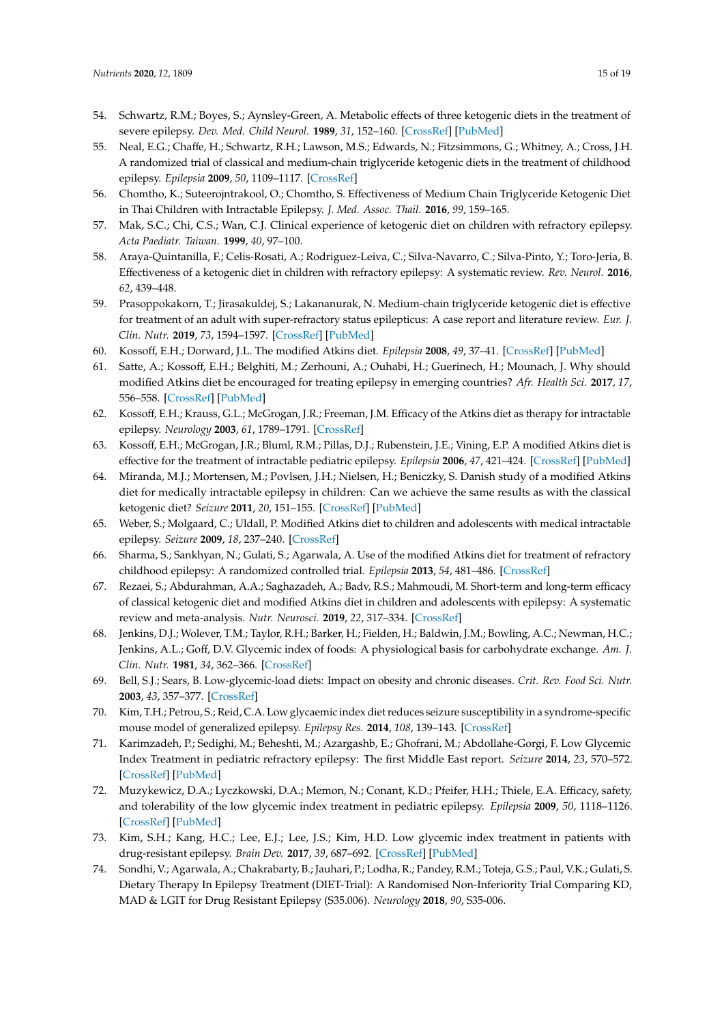- <span id="page-14-0"></span>54. Schwartz, R.M.; Boyes, S.; Aynsley-Green, A. Metabolic effects of three ketogenic diets in the treatment of severe epilepsy. *Dev. Med. Child Neurol.* **1989**, *31*, 152–160. [\[CrossRef\]](http://dx.doi.org/10.1111/j.1469-8749.1989.tb03973.x) [\[PubMed\]](http://www.ncbi.nlm.nih.gov/pubmed/2661288)
- <span id="page-14-1"></span>55. Neal, E.G.; Chaffe, H.; Schwartz, R.H.; Lawson, M.S.; Edwards, N.; Fitzsimmons, G.; Whitney, A.; Cross, J.H. A randomized trial of classical and medium-chain triglyceride ketogenic diets in the treatment of childhood epilepsy. *Epilepsia* **2009**, *50*, 1109–1117. [\[CrossRef\]](http://dx.doi.org/10.1111/j.1528-1167.2008.01870.x)
- <span id="page-14-2"></span>56. Chomtho, K.; Suteerojntrakool, O.; Chomtho, S. Effectiveness of Medium Chain Triglyceride Ketogenic Diet in Thai Children with Intractable Epilepsy. *J. Med. Assoc. Thail.* **2016**, *99*, 159–165.
- <span id="page-14-3"></span>57. Mak, S.C.; Chi, C.S.; Wan, C.J. Clinical experience of ketogenic diet on children with refractory epilepsy. *Acta Paediatr. Taiwan.* **1999**, *40*, 97–100.
- <span id="page-14-4"></span>58. Araya-Quintanilla, F.; Celis-Rosati, A.; Rodriguez-Leiva, C.; Silva-Navarro, C.; Silva-Pinto, Y.; Toro-Jeria, B. Effectiveness of a ketogenic diet in children with refractory epilepsy: A systematic review. *Rev. Neurol.* **2016**, *62*, 439–448.
- <span id="page-14-5"></span>59. Prasoppokakorn, T.; Jirasakuldej, S.; Lakananurak, N. Medium-chain triglyceride ketogenic diet is effective for treatment of an adult with super-refractory status epilepticus: A case report and literature review. *Eur. J. Clin. Nutr.* **2019**, *73*, 1594–1597. [\[CrossRef\]](http://dx.doi.org/10.1038/s41430-019-0471-4) [\[PubMed\]](http://www.ncbi.nlm.nih.gov/pubmed/31316173)
- <span id="page-14-6"></span>60. Kossoff, E.H.; Dorward, J.L. The modified Atkins diet. *Epilepsia* **2008**, *49*, 37–41. [\[CrossRef\]](http://dx.doi.org/10.1111/j.1528-1167.2008.01831.x) [\[PubMed\]](http://www.ncbi.nlm.nih.gov/pubmed/19049584)
- <span id="page-14-7"></span>61. Satte, A.; Kossoff, E.H.; Belghiti, M.; Zerhouni, A.; Ouhabi, H.; Guerinech, H.; Mounach, J. Why should modified Atkins diet be encouraged for treating epilepsy in emerging countries? *Afr. Health Sci.* **2017**, *17*, 556–558. [\[CrossRef\]](http://dx.doi.org/10.4314/ahs.v17i2.32) [\[PubMed\]](http://www.ncbi.nlm.nih.gov/pubmed/29062353)
- <span id="page-14-8"></span>62. Kossoff, E.H.; Krauss, G.L.; McGrogan, J.R.; Freeman, J.M. Efficacy of the Atkins diet as therapy for intractable epilepsy. *Neurology* **2003**, *61*, 1789–1791. [\[CrossRef\]](http://dx.doi.org/10.1212/01.WNL.0000098889.35155.72)
- <span id="page-14-9"></span>63. Kossoff, E.H.; McGrogan, J.R.; Bluml, R.M.; Pillas, D.J.; Rubenstein, J.E.; Vining, E.P. A modified Atkins diet is effective for the treatment of intractable pediatric epilepsy. *Epilepsia* **2006**, *47*, 421–424. [\[CrossRef\]](http://dx.doi.org/10.1111/j.1528-1167.2006.00438.x) [\[PubMed\]](http://www.ncbi.nlm.nih.gov/pubmed/16499770)
- <span id="page-14-19"></span>64. Miranda, M.J.; Mortensen, M.; Povlsen, J.H.; Nielsen, H.; Beniczky, S. Danish study of a modified Atkins diet for medically intractable epilepsy in children: Can we achieve the same results as with the classical ketogenic diet? *Seizure* **2011**, *20*, 151–155. [\[CrossRef\]](http://dx.doi.org/10.1016/j.seizure.2010.11.010) [\[PubMed\]](http://www.ncbi.nlm.nih.gov/pubmed/21126887)
- 65. Weber, S.; Molgaard, C.; Uldall, P. Modified Atkins diet to children and adolescents with medical intractable epilepsy. *Seizure* **2009**, *18*, 237–240. [\[CrossRef\]](http://dx.doi.org/10.1016/j.seizure.2008.10.004)
- <span id="page-14-10"></span>66. Sharma, S.; Sankhyan, N.; Gulati, S.; Agarwala, A. Use of the modified Atkins diet for treatment of refractory childhood epilepsy: A randomized controlled trial. *Epilepsia* **2013**, *54*, 481–486. [\[CrossRef\]](http://dx.doi.org/10.1111/epi.12069)
- <span id="page-14-11"></span>67. Rezaei, S.; Abdurahman, A.A.; Saghazadeh, A.; Badv, R.S.; Mahmoudi, M. Short-term and long-term efficacy of classical ketogenic diet and modified Atkins diet in children and adolescents with epilepsy: A systematic review and meta-analysis. *Nutr. Neurosci.* **2019**, *22*, 317–334. [\[CrossRef\]](http://dx.doi.org/10.1080/1028415X.2017.1387721)
- <span id="page-14-12"></span>68. Jenkins, D.J.; Wolever, T.M.; Taylor, R.H.; Barker, H.; Fielden, H.; Baldwin, J.M.; Bowling, A.C.; Newman, H.C.; Jenkins, A.L.; Goff, D.V. Glycemic index of foods: A physiological basis for carbohydrate exchange. *Am. J. Clin. Nutr.* **1981**, *34*, 362–366. [\[CrossRef\]](http://dx.doi.org/10.1093/ajcn/34.3.362)
- <span id="page-14-13"></span>69. Bell, S.J.; Sears, B. Low-glycemic-load diets: Impact on obesity and chronic diseases. *Crit. Rev. Food Sci. Nutr.* **2003**, *43*, 357–377. [\[CrossRef\]](http://dx.doi.org/10.1080/10408690390826554)
- <span id="page-14-14"></span>70. Kim, T.H.; Petrou, S.; Reid, C.A. Low glycaemic index diet reduces seizure susceptibility in a syndrome-specific mouse model of generalized epilepsy. *Epilepsy Res.* **2014**, *108*, 139–143. [\[CrossRef\]](http://dx.doi.org/10.1016/j.eplepsyres.2013.10.014)
- <span id="page-14-15"></span>71. Karimzadeh, P.; Sedighi, M.; Beheshti, M.; Azargashb, E.; Ghofrani, M.; Abdollahe-Gorgi, F. Low Glycemic Index Treatment in pediatric refractory epilepsy: The first Middle East report. *Seizure* **2014**, *23*, 570–572. [\[CrossRef\]](http://dx.doi.org/10.1016/j.seizure.2014.03.012) [\[PubMed\]](http://www.ncbi.nlm.nih.gov/pubmed/24795151)
- <span id="page-14-17"></span>72. Muzykewicz, D.A.; Lyczkowski, D.A.; Memon, N.; Conant, K.D.; Pfeifer, H.H.; Thiele, E.A. Efficacy, safety, and tolerability of the low glycemic index treatment in pediatric epilepsy. *Epilepsia* **2009**, *50*, 1118–1126. [\[CrossRef\]](http://dx.doi.org/10.1111/j.1528-1167.2008.01959.x) [\[PubMed\]](http://www.ncbi.nlm.nih.gov/pubmed/19220406)
- <span id="page-14-16"></span>73. Kim, S.H.; Kang, H.C.; Lee, E.J.; Lee, J.S.; Kim, H.D. Low glycemic index treatment in patients with drug-resistant epilepsy. *Brain Dev.* **2017**, *39*, 687–692. [\[CrossRef\]](http://dx.doi.org/10.1016/j.braindev.2017.03.027) [\[PubMed\]](http://www.ncbi.nlm.nih.gov/pubmed/28431772)
- <span id="page-14-18"></span>74. Sondhi, V.; Agarwala, A.; Chakrabarty, B.; Jauhari, P.; Lodha, R.; Pandey, R.M.; Toteja, G.S.; Paul, V.K.; Gulati, S. Dietary Therapy In Epilepsy Treatment (DIET-Trial): A Randomised Non-Inferiority Trial Comparing KD, MAD & LGIT for Drug Resistant Epilepsy (S35.006). *Neurology* **2018**, *90*, S35-006.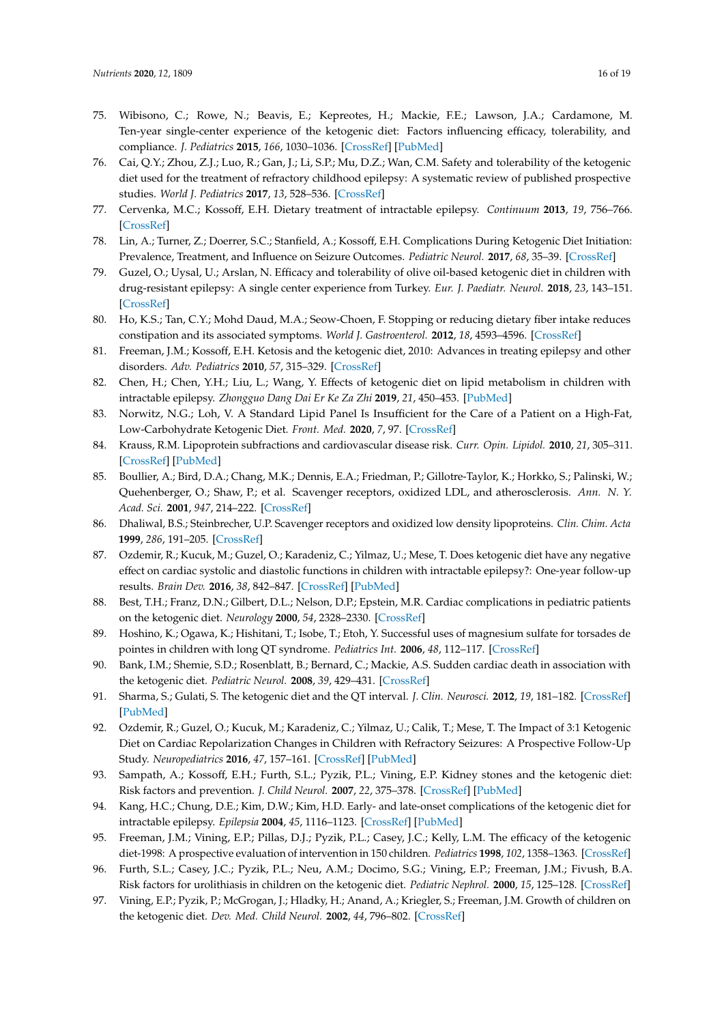- <span id="page-15-0"></span>75. Wibisono, C.; Rowe, N.; Beavis, E.; Kepreotes, H.; Mackie, F.E.; Lawson, J.A.; Cardamone, M. Ten-year single-center experience of the ketogenic diet: Factors influencing efficacy, tolerability, and compliance. *J. Pediatrics* **2015**, *166*, 1030–1036. [\[CrossRef\]](http://dx.doi.org/10.1016/j.jpeds.2014.12.018) [\[PubMed\]](http://www.ncbi.nlm.nih.gov/pubmed/25649120)
- <span id="page-15-1"></span>76. Cai, Q.Y.; Zhou, Z.J.; Luo, R.; Gan, J.; Li, S.P.; Mu, D.Z.; Wan, C.M. Safety and tolerability of the ketogenic diet used for the treatment of refractory childhood epilepsy: A systematic review of published prospective studies. *World J. Pediatrics* **2017**, *13*, 528–536. [\[CrossRef\]](http://dx.doi.org/10.1007/s12519-017-0053-2)
- <span id="page-15-2"></span>77. Cervenka, M.C.; Kossoff, E.H. Dietary treatment of intractable epilepsy. *Continuum* **2013**, *19*, 756–766. [\[CrossRef\]](http://dx.doi.org/10.1212/01.CON.0000431396.23852.56)
- <span id="page-15-3"></span>78. Lin, A.; Turner, Z.; Doerrer, S.C.; Stanfield, A.; Kossoff, E.H. Complications During Ketogenic Diet Initiation: Prevalence, Treatment, and Influence on Seizure Outcomes. *Pediatric Neurol.* **2017**, *68*, 35–39. [\[CrossRef\]](http://dx.doi.org/10.1016/j.pediatrneurol.2017.01.007)
- <span id="page-15-4"></span>79. Guzel, O.; Uysal, U.; Arslan, N. Efficacy and tolerability of olive oil-based ketogenic diet in children with drug-resistant epilepsy: A single center experience from Turkey. *Eur. J. Paediatr. Neurol.* **2018**, *23*, 143–151. [\[CrossRef\]](http://dx.doi.org/10.1016/j.ejpn.2018.11.007)
- <span id="page-15-5"></span>80. Ho, K.S.; Tan, C.Y.; Mohd Daud, M.A.; Seow-Choen, F. Stopping or reducing dietary fiber intake reduces constipation and its associated symptoms. *World J. Gastroenterol.* **2012**, *18*, 4593–4596. [\[CrossRef\]](http://dx.doi.org/10.3748/wjg.v18.i33.4593)
- <span id="page-15-6"></span>81. Freeman, J.M.; Kossoff, E.H. Ketosis and the ketogenic diet, 2010: Advances in treating epilepsy and other disorders. *Adv. Pediatrics* **2010**, *57*, 315–329. [\[CrossRef\]](http://dx.doi.org/10.1016/j.yapd.2010.08.003)
- <span id="page-15-7"></span>82. Chen, H.; Chen, Y.H.; Liu, L.; Wang, Y. Effects of ketogenic diet on lipid metabolism in children with intractable epilepsy. *Zhongguo Dang Dai Er Ke Za Zhi* **2019**, *21*, 450–453. [\[PubMed\]](http://www.ncbi.nlm.nih.gov/pubmed/31104661)
- <span id="page-15-8"></span>83. Norwitz, N.G.; Loh, V. A Standard Lipid Panel Is Insufficient for the Care of a Patient on a High-Fat, Low-Carbohydrate Ketogenic Diet. *Front. Med.* **2020**, *7*, 97. [\[CrossRef\]](http://dx.doi.org/10.3389/fmed.2020.00097)
- <span id="page-15-9"></span>84. Krauss, R.M. Lipoprotein subfractions and cardiovascular disease risk. *Curr. Opin. Lipidol.* **2010**, *21*, 305–311. [\[CrossRef\]](http://dx.doi.org/10.1097/MOL.0b013e32833b7756) [\[PubMed\]](http://www.ncbi.nlm.nih.gov/pubmed/20531184)
- <span id="page-15-10"></span>85. Boullier, A.; Bird, D.A.; Chang, M.K.; Dennis, E.A.; Friedman, P.; Gillotre-Taylor, K.; Horkko, S.; Palinski, W.; Quehenberger, O.; Shaw, P.; et al. Scavenger receptors, oxidized LDL, and atherosclerosis. *Ann. N. Y. Acad. Sci.* **2001**, *947*, 214–222. [\[CrossRef\]](http://dx.doi.org/10.1111/j.1749-6632.2001.tb03943.x)
- <span id="page-15-11"></span>86. Dhaliwal, B.S.; Steinbrecher, U.P. Scavenger receptors and oxidized low density lipoproteins. *Clin. Chim. Acta* **1999**, *286*, 191–205. [\[CrossRef\]](http://dx.doi.org/10.1016/S0009-8981(99)00101-1)
- <span id="page-15-12"></span>87. Ozdemir, R.; Kucuk, M.; Guzel, O.; Karadeniz, C.; Yilmaz, U.; Mese, T. Does ketogenic diet have any negative effect on cardiac systolic and diastolic functions in children with intractable epilepsy?: One-year follow-up results. *Brain Dev.* **2016**, *38*, 842–847. [\[CrossRef\]](http://dx.doi.org/10.1016/j.braindev.2016.03.009) [\[PubMed\]](http://www.ncbi.nlm.nih.gov/pubmed/27066714)
- <span id="page-15-13"></span>88. Best, T.H.; Franz, D.N.; Gilbert, D.L.; Nelson, D.P.; Epstein, M.R. Cardiac complications in pediatric patients on the ketogenic diet. *Neurology* **2000**, *54*, 2328–2330. [\[CrossRef\]](http://dx.doi.org/10.1212/WNL.54.12.2328)
- <span id="page-15-14"></span>89. Hoshino, K.; Ogawa, K.; Hishitani, T.; Isobe, T.; Etoh, Y. Successful uses of magnesium sulfate for torsades de pointes in children with long QT syndrome. *Pediatrics Int.* **2006**, *48*, 112–117. [\[CrossRef\]](http://dx.doi.org/10.1111/j.1442-200X.2006.02177.x)
- <span id="page-15-15"></span>90. Bank, I.M.; Shemie, S.D.; Rosenblatt, B.; Bernard, C.; Mackie, A.S. Sudden cardiac death in association with the ketogenic diet. *Pediatric Neurol.* **2008**, *39*, 429–431. [\[CrossRef\]](http://dx.doi.org/10.1016/j.pediatrneurol.2008.08.013)
- <span id="page-15-16"></span>91. Sharma, S.; Gulati, S. The ketogenic diet and the QT interval. *J. Clin. Neurosci.* **2012**, *19*, 181–182. [\[CrossRef\]](http://dx.doi.org/10.1016/j.jocn.2011.05.012) [\[PubMed\]](http://www.ncbi.nlm.nih.gov/pubmed/22133817)
- <span id="page-15-17"></span>92. Ozdemir, R.; Guzel, O.; Kucuk, M.; Karadeniz, C.; Yilmaz, U.; Calik, T.; Mese, T. The Impact of 3:1 Ketogenic Diet on Cardiac Repolarization Changes in Children with Refractory Seizures: A Prospective Follow-Up Study. *Neuropediatrics* **2016**, *47*, 157–161. [\[CrossRef\]](http://dx.doi.org/10.1055/s-0036-1582139) [\[PubMed\]](http://www.ncbi.nlm.nih.gov/pubmed/27043293)
- <span id="page-15-18"></span>93. Sampath, A.; Kossoff, E.H.; Furth, S.L.; Pyzik, P.L.; Vining, E.P. Kidney stones and the ketogenic diet: Risk factors and prevention. *J. Child Neurol.* **2007**, *22*, 375–378. [\[CrossRef\]](http://dx.doi.org/10.1177/0883073807301926) [\[PubMed\]](http://www.ncbi.nlm.nih.gov/pubmed/17621514)
- <span id="page-15-19"></span>94. Kang, H.C.; Chung, D.E.; Kim, D.W.; Kim, H.D. Early- and late-onset complications of the ketogenic diet for intractable epilepsy. *Epilepsia* **2004**, *45*, 1116–1123. [\[CrossRef\]](http://dx.doi.org/10.1111/j.0013-9580.2004.10004.x) [\[PubMed\]](http://www.ncbi.nlm.nih.gov/pubmed/15329077)
- <span id="page-15-20"></span>95. Freeman, J.M.; Vining, E.P.; Pillas, D.J.; Pyzik, P.L.; Casey, J.C.; Kelly, L.M. The efficacy of the ketogenic diet-1998: A prospective evaluation of intervention in 150 children. *Pediatrics* **1998**, *102*, 1358–1363. [\[CrossRef\]](http://dx.doi.org/10.1542/peds.102.6.1358)
- <span id="page-15-21"></span>96. Furth, S.L.; Casey, J.C.; Pyzik, P.L.; Neu, A.M.; Docimo, S.G.; Vining, E.P.; Freeman, J.M.; Fivush, B.A. Risk factors for urolithiasis in children on the ketogenic diet. *Pediatric Nephrol.* **2000**, *15*, 125–128. [\[CrossRef\]](http://dx.doi.org/10.1007/s004670000443)
- <span id="page-15-22"></span>97. Vining, E.P.; Pyzik, P.; McGrogan, J.; Hladky, H.; Anand, A.; Kriegler, S.; Freeman, J.M. Growth of children on the ketogenic diet. *Dev. Med. Child Neurol.* **2002**, *44*, 796–802. [\[CrossRef\]](http://dx.doi.org/10.1111/j.1469-8749.2002.tb00769.x)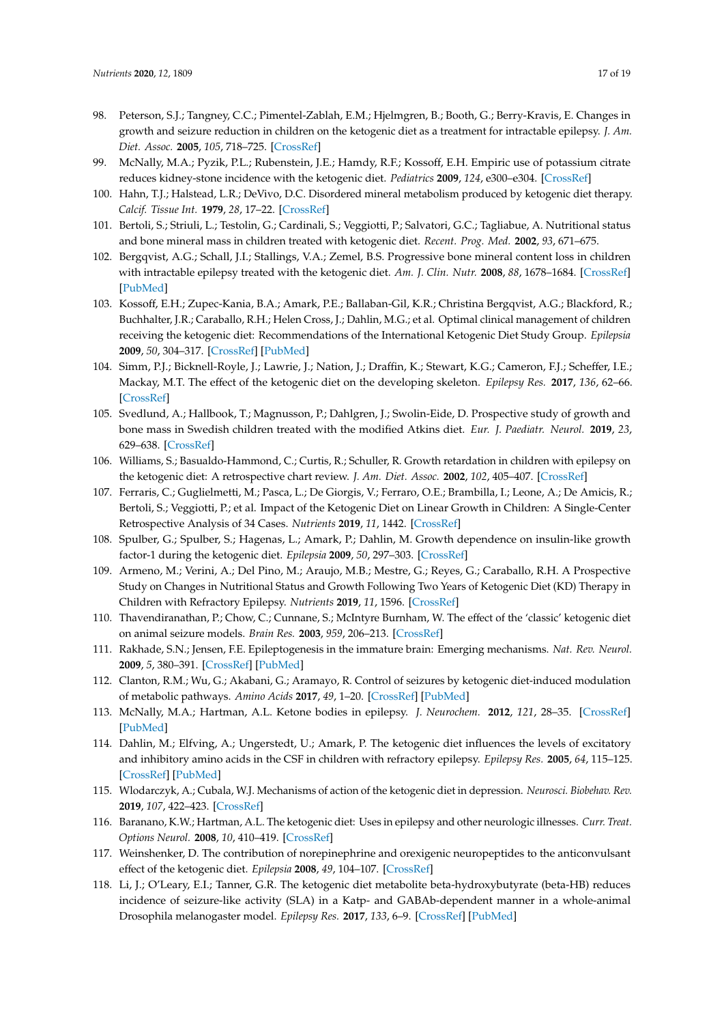- <span id="page-16-0"></span>98. Peterson, S.J.; Tangney, C.C.; Pimentel-Zablah, E.M.; Hjelmgren, B.; Booth, G.; Berry-Kravis, E. Changes in growth and seizure reduction in children on the ketogenic diet as a treatment for intractable epilepsy. *J. Am. Diet. Assoc.* **2005**, *105*, 718–725. [\[CrossRef\]](http://dx.doi.org/10.1016/j.jada.2005.02.009)
- <span id="page-16-1"></span>99. McNally, M.A.; Pyzik, P.L.; Rubenstein, J.E.; Hamdy, R.F.; Kossoff, E.H. Empiric use of potassium citrate reduces kidney-stone incidence with the ketogenic diet. *Pediatrics* **2009**, *124*, e300–e304. [\[CrossRef\]](http://dx.doi.org/10.1542/peds.2009-0217)
- <span id="page-16-2"></span>100. Hahn, T.J.; Halstead, L.R.; DeVivo, D.C. Disordered mineral metabolism produced by ketogenic diet therapy. *Calcif. Tissue Int.* **1979**, *28*, 17–22. [\[CrossRef\]](http://dx.doi.org/10.1007/BF02441213)
- <span id="page-16-3"></span>101. Bertoli, S.; Striuli, L.; Testolin, G.; Cardinali, S.; Veggiotti, P.; Salvatori, G.C.; Tagliabue, A. Nutritional status and bone mineral mass in children treated with ketogenic diet. *Recent. Prog. Med.* **2002**, *93*, 671–675.
- <span id="page-16-4"></span>102. Bergqvist, A.G.; Schall, J.I.; Stallings, V.A.; Zemel, B.S. Progressive bone mineral content loss in children with intractable epilepsy treated with the ketogenic diet. *Am. J. Clin. Nutr.* **2008**, *88*, 1678–1684. [\[CrossRef\]](http://dx.doi.org/10.3945/ajcn.2008.26099) [\[PubMed\]](http://www.ncbi.nlm.nih.gov/pubmed/19064531)
- <span id="page-16-5"></span>103. Kossoff, E.H.; Zupec-Kania, B.A.; Amark, P.E.; Ballaban-Gil, K.R.; Christina Bergqvist, A.G.; Blackford, R.; Buchhalter, J.R.; Caraballo, R.H.; Helen Cross, J.; Dahlin, M.G.; et al. Optimal clinical management of children receiving the ketogenic diet: Recommendations of the International Ketogenic Diet Study Group. *Epilepsia* **2009**, *50*, 304–317. [\[CrossRef\]](http://dx.doi.org/10.1111/j.1528-1167.2008.01765.x) [\[PubMed\]](http://www.ncbi.nlm.nih.gov/pubmed/18823325)
- <span id="page-16-6"></span>104. Simm, P.J.; Bicknell-Royle, J.; Lawrie, J.; Nation, J.; Draffin, K.; Stewart, K.G.; Cameron, F.J.; Scheffer, I.E.; Mackay, M.T. The effect of the ketogenic diet on the developing skeleton. *Epilepsy Res.* **2017**, *136*, 62–66. [\[CrossRef\]](http://dx.doi.org/10.1016/j.eplepsyres.2017.07.014)
- <span id="page-16-7"></span>105. Svedlund, A.; Hallbook, T.; Magnusson, P.; Dahlgren, J.; Swolin-Eide, D. Prospective study of growth and bone mass in Swedish children treated with the modified Atkins diet. *Eur. J. Paediatr. Neurol.* **2019**, *23*, 629–638. [\[CrossRef\]](http://dx.doi.org/10.1016/j.ejpn.2019.04.001)
- <span id="page-16-8"></span>106. Williams, S.; Basualdo-Hammond, C.; Curtis, R.; Schuller, R. Growth retardation in children with epilepsy on the ketogenic diet: A retrospective chart review. *J. Am. Diet. Assoc.* **2002**, *102*, 405–407. [\[CrossRef\]](http://dx.doi.org/10.1016/S0002-8223(02)90093-3)
- <span id="page-16-9"></span>107. Ferraris, C.; Guglielmetti, M.; Pasca, L.; De Giorgis, V.; Ferraro, O.E.; Brambilla, I.; Leone, A.; De Amicis, R.; Bertoli, S.; Veggiotti, P.; et al. Impact of the Ketogenic Diet on Linear Growth in Children: A Single-Center Retrospective Analysis of 34 Cases. *Nutrients* **2019**, *11*, 1442. [\[CrossRef\]](http://dx.doi.org/10.3390/nu11071442)
- <span id="page-16-10"></span>108. Spulber, G.; Spulber, S.; Hagenas, L.; Amark, P.; Dahlin, M. Growth dependence on insulin-like growth factor-1 during the ketogenic diet. *Epilepsia* **2009**, *50*, 297–303. [\[CrossRef\]](http://dx.doi.org/10.1111/j.1528-1167.2008.01769.x)
- <span id="page-16-11"></span>109. Armeno, M.; Verini, A.; Del Pino, M.; Araujo, M.B.; Mestre, G.; Reyes, G.; Caraballo, R.H. A Prospective Study on Changes in Nutritional Status and Growth Following Two Years of Ketogenic Diet (KD) Therapy in Children with Refractory Epilepsy. *Nutrients* **2019**, *11*, 1596. [\[CrossRef\]](http://dx.doi.org/10.3390/nu11071596)
- <span id="page-16-12"></span>110. Thavendiranathan, P.; Chow, C.; Cunnane, S.; McIntyre Burnham, W. The effect of the 'classic' ketogenic diet on animal seizure models. *Brain Res.* **2003**, *959*, 206–213. [\[CrossRef\]](http://dx.doi.org/10.1016/S0006-8993(02)03744-7)
- <span id="page-16-13"></span>111. Rakhade, S.N.; Jensen, F.E. Epileptogenesis in the immature brain: Emerging mechanisms. *Nat. Rev. Neurol.* **2009**, *5*, 380–391. [\[CrossRef\]](http://dx.doi.org/10.1038/nrneurol.2009.80) [\[PubMed\]](http://www.ncbi.nlm.nih.gov/pubmed/19578345)
- <span id="page-16-14"></span>112. Clanton, R.M.; Wu, G.; Akabani, G.; Aramayo, R. Control of seizures by ketogenic diet-induced modulation of metabolic pathways. *Amino Acids* **2017**, *49*, 1–20. [\[CrossRef\]](http://dx.doi.org/10.1007/s00726-016-2336-7) [\[PubMed\]](http://www.ncbi.nlm.nih.gov/pubmed/27683025)
- <span id="page-16-15"></span>113. McNally, M.A.; Hartman, A.L. Ketone bodies in epilepsy. *J. Neurochem.* **2012**, *121*, 28–35. [\[CrossRef\]](http://dx.doi.org/10.1111/j.1471-4159.2012.07670.x) [\[PubMed\]](http://www.ncbi.nlm.nih.gov/pubmed/22268909)
- <span id="page-16-16"></span>114. Dahlin, M.; Elfving, A.; Ungerstedt, U.; Amark, P. The ketogenic diet influences the levels of excitatory and inhibitory amino acids in the CSF in children with refractory epilepsy. *Epilepsy Res.* **2005**, *64*, 115–125. [\[CrossRef\]](http://dx.doi.org/10.1016/j.eplepsyres.2005.03.008) [\[PubMed\]](http://www.ncbi.nlm.nih.gov/pubmed/15961283)
- <span id="page-16-17"></span>115. Wlodarczyk, A.; Cubala, W.J. Mechanisms of action of the ketogenic diet in depression. *Neurosci. Biobehav. Rev.* **2019**, *107*, 422–423. [\[CrossRef\]](http://dx.doi.org/10.1016/j.neubiorev.2019.09.038)
- <span id="page-16-18"></span>116. Baranano, K.W.; Hartman, A.L. The ketogenic diet: Uses in epilepsy and other neurologic illnesses. *Curr. Treat. Options Neurol.* **2008**, *10*, 410–419. [\[CrossRef\]](http://dx.doi.org/10.1007/s11940-008-0043-8)
- <span id="page-16-19"></span>117. Weinshenker, D. The contribution of norepinephrine and orexigenic neuropeptides to the anticonvulsant effect of the ketogenic diet. *Epilepsia* **2008**, *49*, 104–107. [\[CrossRef\]](http://dx.doi.org/10.1111/j.1528-1167.2008.01850.x)
- 118. Li, J.; O'Leary, E.I.; Tanner, G.R. The ketogenic diet metabolite beta-hydroxybutyrate (beta-HB) reduces incidence of seizure-like activity (SLA) in a Katp- and GABAb-dependent manner in a whole-animal Drosophila melanogaster model. *Epilepsy Res.* **2017**, *133*, 6–9. [\[CrossRef\]](http://dx.doi.org/10.1016/j.eplepsyres.2017.04.003) [\[PubMed\]](http://www.ncbi.nlm.nih.gov/pubmed/28395176)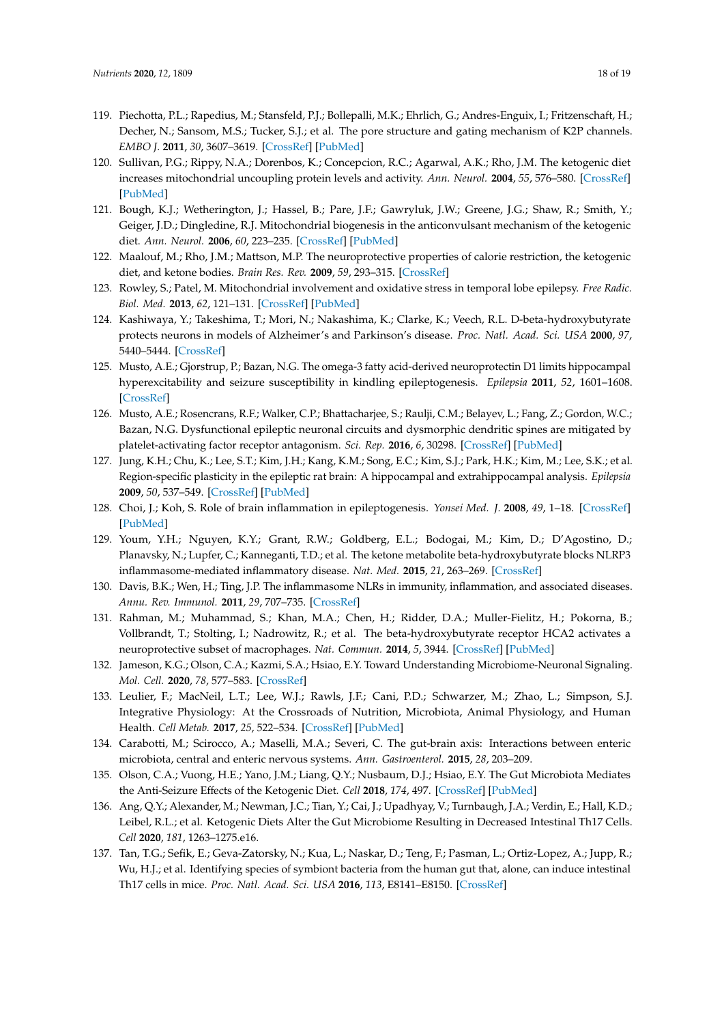- <span id="page-17-0"></span>119. Piechotta, P.L.; Rapedius, M.; Stansfeld, P.J.; Bollepalli, M.K.; Ehrlich, G.; Andres-Enguix, I.; Fritzenschaft, H.; Decher, N.; Sansom, M.S.; Tucker, S.J.; et al. The pore structure and gating mechanism of K2P channels. *EMBO J.* **2011**, *30*, 3607–3619. [\[CrossRef\]](http://dx.doi.org/10.1038/emboj.2011.268) [\[PubMed\]](http://www.ncbi.nlm.nih.gov/pubmed/21822218)
- <span id="page-17-1"></span>120. Sullivan, P.G.; Rippy, N.A.; Dorenbos, K.; Concepcion, R.C.; Agarwal, A.K.; Rho, J.M. The ketogenic diet increases mitochondrial uncoupling protein levels and activity. *Ann. Neurol.* **2004**, *55*, 576–580. [\[CrossRef\]](http://dx.doi.org/10.1002/ana.20062) [\[PubMed\]](http://www.ncbi.nlm.nih.gov/pubmed/15048898)
- <span id="page-17-2"></span>121. Bough, K.J.; Wetherington, J.; Hassel, B.; Pare, J.F.; Gawryluk, J.W.; Greene, J.G.; Shaw, R.; Smith, Y.; Geiger, J.D.; Dingledine, R.J. Mitochondrial biogenesis in the anticonvulsant mechanism of the ketogenic diet. *Ann. Neurol.* **2006**, *60*, 223–235. [\[CrossRef\]](http://dx.doi.org/10.1002/ana.20899) [\[PubMed\]](http://www.ncbi.nlm.nih.gov/pubmed/16807920)
- <span id="page-17-3"></span>122. Maalouf, M.; Rho, J.M.; Mattson, M.P. The neuroprotective properties of calorie restriction, the ketogenic diet, and ketone bodies. *Brain Res. Rev.* **2009**, *59*, 293–315. [\[CrossRef\]](http://dx.doi.org/10.1016/j.brainresrev.2008.09.002)
- <span id="page-17-4"></span>123. Rowley, S.; Patel, M. Mitochondrial involvement and oxidative stress in temporal lobe epilepsy. *Free Radic. Biol. Med.* **2013**, *62*, 121–131. [\[CrossRef\]](http://dx.doi.org/10.1016/j.freeradbiomed.2013.02.002) [\[PubMed\]](http://www.ncbi.nlm.nih.gov/pubmed/23411150)
- <span id="page-17-5"></span>124. Kashiwaya, Y.; Takeshima, T.; Mori, N.; Nakashima, K.; Clarke, K.; Veech, R.L. D-beta-hydroxybutyrate protects neurons in models of Alzheimer's and Parkinson's disease. *Proc. Natl. Acad. Sci. USA* **2000**, *97*, 5440–5444. [\[CrossRef\]](http://dx.doi.org/10.1073/pnas.97.10.5440)
- <span id="page-17-6"></span>125. Musto, A.E.; Gjorstrup, P.; Bazan, N.G. The omega-3 fatty acid-derived neuroprotectin D1 limits hippocampal hyperexcitability and seizure susceptibility in kindling epileptogenesis. *Epilepsia* **2011**, *52*, 1601–1608. [\[CrossRef\]](http://dx.doi.org/10.1111/j.1528-1167.2011.03081.x)
- 126. Musto, A.E.; Rosencrans, R.F.; Walker, C.P.; Bhattacharjee, S.; Raulji, C.M.; Belayev, L.; Fang, Z.; Gordon, W.C.; Bazan, N.G. Dysfunctional epileptic neuronal circuits and dysmorphic dendritic spines are mitigated by platelet-activating factor receptor antagonism. *Sci. Rep.* **2016**, *6*, 30298. [\[CrossRef\]](http://dx.doi.org/10.1038/srep30298) [\[PubMed\]](http://www.ncbi.nlm.nih.gov/pubmed/27444269)
- <span id="page-17-7"></span>127. Jung, K.H.; Chu, K.; Lee, S.T.; Kim, J.H.; Kang, K.M.; Song, E.C.; Kim, S.J.; Park, H.K.; Kim, M.; Lee, S.K.; et al. Region-specific plasticity in the epileptic rat brain: A hippocampal and extrahippocampal analysis. *Epilepsia* **2009**, *50*, 537–549. [\[CrossRef\]](http://dx.doi.org/10.1111/j.1528-1167.2008.01718.x) [\[PubMed\]](http://www.ncbi.nlm.nih.gov/pubmed/19054393)
- <span id="page-17-8"></span>128. Choi, J.; Koh, S. Role of brain inflammation in epileptogenesis. *Yonsei Med. J.* **2008**, *49*, 1–18. [\[CrossRef\]](http://dx.doi.org/10.3349/ymj.2008.49.1.1) [\[PubMed\]](http://www.ncbi.nlm.nih.gov/pubmed/18306464)
- <span id="page-17-9"></span>129. Youm, Y.H.; Nguyen, K.Y.; Grant, R.W.; Goldberg, E.L.; Bodogai, M.; Kim, D.; D'Agostino, D.; Planavsky, N.; Lupfer, C.; Kanneganti, T.D.; et al. The ketone metabolite beta-hydroxybutyrate blocks NLRP3 inflammasome-mediated inflammatory disease. *Nat. Med.* **2015**, *21*, 263–269. [\[CrossRef\]](http://dx.doi.org/10.1038/nm.3804)
- <span id="page-17-10"></span>130. Davis, B.K.; Wen, H.; Ting, J.P. The inflammasome NLRs in immunity, inflammation, and associated diseases. *Annu. Rev. Immunol.* **2011**, *29*, 707–735. [\[CrossRef\]](http://dx.doi.org/10.1146/annurev-immunol-031210-101405)
- <span id="page-17-11"></span>131. Rahman, M.; Muhammad, S.; Khan, M.A.; Chen, H.; Ridder, D.A.; Muller-Fielitz, H.; Pokorna, B.; Vollbrandt, T.; Stolting, I.; Nadrowitz, R.; et al. The beta-hydroxybutyrate receptor HCA2 activates a neuroprotective subset of macrophages. *Nat. Commun.* **2014**, *5*, 3944. [\[CrossRef\]](http://dx.doi.org/10.1038/ncomms4944) [\[PubMed\]](http://www.ncbi.nlm.nih.gov/pubmed/24845831)
- <span id="page-17-12"></span>132. Jameson, K.G.; Olson, C.A.; Kazmi, S.A.; Hsiao, E.Y. Toward Understanding Microbiome-Neuronal Signaling. *Mol. Cell.* **2020**, *78*, 577–583. [\[CrossRef\]](http://dx.doi.org/10.1016/j.molcel.2020.03.006)
- <span id="page-17-13"></span>133. Leulier, F.; MacNeil, L.T.; Lee, W.J.; Rawls, J.F.; Cani, P.D.; Schwarzer, M.; Zhao, L.; Simpson, S.J. Integrative Physiology: At the Crossroads of Nutrition, Microbiota, Animal Physiology, and Human Health. *Cell Metab.* **2017**, *25*, 522–534. [\[CrossRef\]](http://dx.doi.org/10.1016/j.cmet.2017.02.001) [\[PubMed\]](http://www.ncbi.nlm.nih.gov/pubmed/28273475)
- <span id="page-17-14"></span>134. Carabotti, M.; Scirocco, A.; Maselli, M.A.; Severi, C. The gut-brain axis: Interactions between enteric microbiota, central and enteric nervous systems. *Ann. Gastroenterol.* **2015**, *28*, 203–209.
- <span id="page-17-15"></span>135. Olson, C.A.; Vuong, H.E.; Yano, J.M.; Liang, Q.Y.; Nusbaum, D.J.; Hsiao, E.Y. The Gut Microbiota Mediates the Anti-Seizure Effects of the Ketogenic Diet. *Cell* **2018**, *174*, 497. [\[CrossRef\]](http://dx.doi.org/10.1016/j.cell.2018.06.051) [\[PubMed\]](http://www.ncbi.nlm.nih.gov/pubmed/30007420)
- <span id="page-17-16"></span>136. Ang, Q.Y.; Alexander, M.; Newman, J.C.; Tian, Y.; Cai, J.; Upadhyay, V.; Turnbaugh, J.A.; Verdin, E.; Hall, K.D.; Leibel, R.L.; et al. Ketogenic Diets Alter the Gut Microbiome Resulting in Decreased Intestinal Th17 Cells. *Cell* **2020**, *181*, 1263–1275.e16.
- <span id="page-17-17"></span>137. Tan, T.G.; Sefik, E.; Geva-Zatorsky, N.; Kua, L.; Naskar, D.; Teng, F.; Pasman, L.; Ortiz-Lopez, A.; Jupp, R.; Wu, H.J.; et al. Identifying species of symbiont bacteria from the human gut that, alone, can induce intestinal Th17 cells in mice. *Proc. Natl. Acad. Sci. USA* **2016**, *113*, E8141–E8150. [\[CrossRef\]](http://dx.doi.org/10.1073/pnas.1617460113)